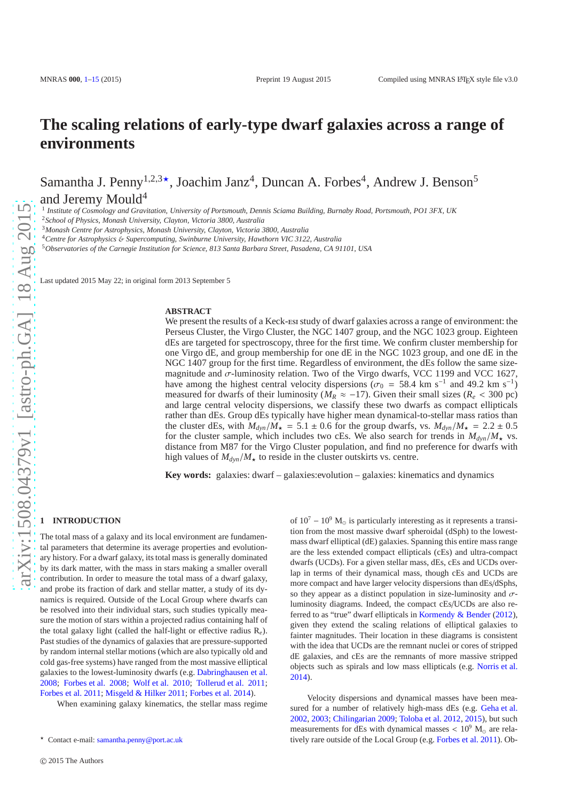# **The scaling relations of early-type dwarf galaxies across a range of environments**

Samantha J. Penny<sup>1,2,3</sup>\*, Joachim Janz<sup>4</sup>, Duncan A. Forbes<sup>4</sup>, Andrew J. Benson<sup>5</sup>

and Jeremy Mould<sup>4</sup>

1 *Institute of Cosmology and Gravitation, University of Portsmouth, Dennis Sciama Building, Burnaby Road, Portsmouth, PO1 3FX, UK*

<sup>2</sup>*School of Physics, Monash University, Clayton, Victoria 3800, Australia*

<sup>3</sup>*Monash Centre for Astrophysics, Monash University, Clayton, Victoria 3800, Australia*

<sup>4</sup>*Centre for Astrophysics* & *Supercomputing, Swinburne University, Hawthorn VIC 3122, Australia*

<sup>5</sup>*Observatories of the Carnegie Institution for Science, 813 Santa Barbara Street, Pasadena, CA 91101, USA*

Last updated 2015 May 22; in original form 2013 September 5

#### **ABSTRACT**

We present the results of a Keck-esistudy of dwarf galaxies across a range of environment: the Perseus Cluster, the Virgo Cluster, the NGC 1407 group, and the NGC 1023 group. Eighteen dEs are targeted for spectroscopy, three for the first time. We confirm cluster membership for one Virgo dE, and group membership for one dE in the NGC 1023 group, and one dE in the NGC 1407 group for the first time. Regardless of environment, the dEs follow the same sizemagnitude and  $\sigma$ -luminosity relation. Two of the Virgo dwarfs, VCC 1199 and VCC 1627, have among the highest central velocity dispersions ( $\sigma_0 = 58.4$  km s<sup>-1</sup> and 49.2 km s<sup>-1</sup>) measured for dwarfs of their luminosity ( $M_R \approx -17$ ). Given their small sizes ( $R_e < 300$  pc) and large central velocity dispersions, we classify these two dwarfs as compact ellipticals rather than dEs. Group dEs typically have higher mean dynamical-to-stellar mass ratios than the cluster dEs, with  $M_{dyn}/M_{\star} = 5.1 \pm 0.6$  for the group dwarfs, vs.  $M_{dyn}/M_{\star} = 2.2 \pm 0.5$ for the cluster sample, which includes two cEs. We also search for trends in  $M_{\text{dyn}}/M_{\star}$  vs. distance from M87 for the Virgo Cluster population, and find no preference for dwarfs with high values of  $M_{dyn}/M_{\star}$  to reside in the cluster outskirts vs. centre.

**Key words:** galaxies: dwarf – galaxies:evolution – galaxies: kinematics and dynamics

# <span id="page-0-0"></span>**1 INTRODUCTION**

The total mass of a galaxy and its local environment are fundamental parameters that determine its average properties and evolutionary history. For a dwarf galaxy, its total mass is generally dominated by its dark matter, with the mass in stars making a smaller overall contribution. In order to measure the total mass of a dwarf galaxy, and probe its fraction of dark and stellar matter, a study of its dynamics is required. Outside of the Local Group where dwarfs can be resolved into their individual stars, such studies typically measure the motion of stars within a projected radius containing half of the total galaxy light (called the half-light or effective radius R*e*). Past studies of the dynamics of galaxies that are pressure-supported by random internal stellar motions (which are also typically old and cold gas-free systems) have ranged from the most massive elliptical galaxies to the lowest-luminosity dwarfs (e.g. [Dabringhausen et al.](#page-13-1) [2008](#page-13-1); [Forbes et al. 2008](#page-13-2); [Wolf et al. 2010;](#page-14-0) [Tollerud et al. 2011;](#page-14-1) [Forbes et al. 2011](#page-13-3); [Misgeld & Hilker 2011;](#page-13-4) [Forbes et al. 2014\)](#page-13-5).

When examining galaxy kinematics, the stellar mass regime

of  $10^7 - 10^9$  M<sub>o</sub> is particularly interesting as it represents a transition from the most massive dwarf spheroidal (dSph) to the lowestmass dwarf elliptical (dE) galaxies. Spanning this entire mass range are the less extended compact ellipticals (cEs) and ultra-compact dwarfs (UCDs). For a given stellar mass, dEs, cEs and UCDs overlap in terms of their dynamical mass, though cEs and UCDs are more compact and have larger velocity dispersions than dEs/dSphs, so they appear as a distinct population in size-luminosity and  $\sigma$ luminosity diagrams. Indeed, the compact cEs/UCDs are also referred to as "true" dwarf ellipticals in [Kormendy & Bender](#page-13-6) [\(2012](#page-13-6)), given they extend the scaling relations of elliptical galaxies to fainter magnitudes. Their location in these diagrams is consistent with the idea that UCDs are the remnant nuclei or cores of stripped dE galaxies, and cEs are the remnants of more massive stripped objects such as spirals and low mass ellipticals (e.g. [Norris et al.](#page-13-7) [2014](#page-13-7)).

Velocity dispersions and dynamical masses have been measured for a number of relatively high-mass dEs (e.g. [Geha et al.](#page-13-8) [2002](#page-13-8), [2003](#page-13-9); [Chilingarian 2009](#page-13-10); [Toloba et al. 2012](#page-14-2), [2015\)](#page-14-3), but such measurements for dEs with dynamical masses  $< 10<sup>9</sup>$  M<sub>☉</sub> are relatively rare outside of the Local Group (e.g. [Forbes et al. 2011\)](#page-13-3). Ob-

<sup>⋆</sup> Contact e-mail: [samantha.penny@port.ac.uk](mailto:samantha.penny@port.ac.uk)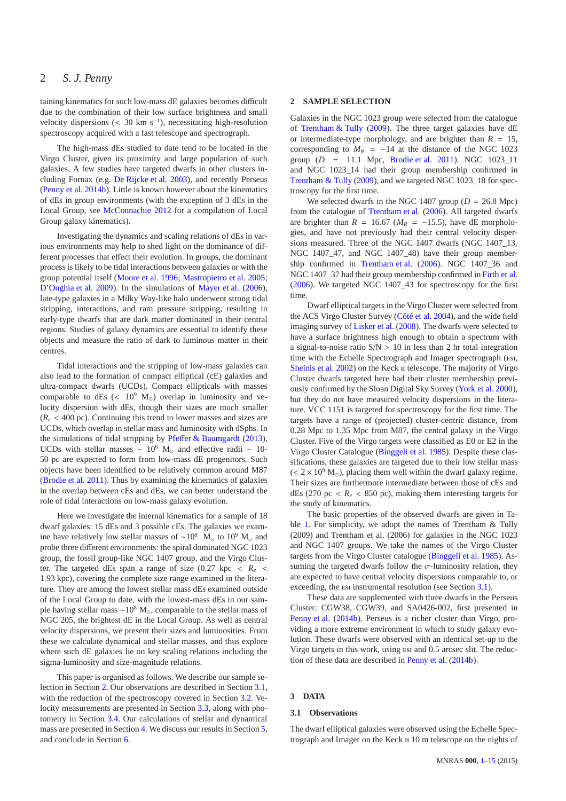taining kinematics for such low-mass dE galaxies becomes difficult due to the combination of their low surface brightness and small velocity dispersions  $\left($  < 30 km s<sup>-1</sup>), necessitating high-resolution spectroscopy acquired with a fast telescope and spectrograph.

The high-mass dEs studied to date tend to be located in the Virgo Cluster, given its proximity and large population of such galaxies. A few studies have targeted dwarfs in other clusters including Fornax (e.g. [De Rijcke et al. 2003\)](#page-13-11), and recently Perseus [\(Penny et al. 2014b](#page-14-4)). Little is known however about the kinematics of dEs in group environments (with the exception of 3 dEs in the Local Group, see [McConnachie 2012](#page-13-12) for a compilation of Local Group galaxy kinematics).

Investigating the dynamics and scaling relations of dEs in various environments may help to shed light on the dominance of different processes that effect their evolution. In groups, the dominant process is likely to be tidal interactions between galaxies or with the group potential itself [\(Moore et al. 1996](#page-13-13); [Mastropietro et al. 2005;](#page-13-14) [D'Onghia et al. 2009](#page-13-15)). In the simulations of [Mayer et al.](#page-13-16) [\(2006](#page-13-16)), late-type galaxies in a Milky Way-like halo underwent strong tidal stripping, interactions, and ram pressure stripping, resulting in early-type dwarfs that are dark matter dominated in their central regions. Studies of galaxy dynamics are essential to identify these objects and measure the ratio of dark to luminous matter in their centres.

Tidal interactions and the stripping of low-mass galaxies can also lead to the formation of compact elliptical (cE) galaxies and ultra-compact dwarfs (UCDs). Compact ellipticals with masses comparable to dEs (<  $10^9$  M<sub>☉</sub>) overlap in luminosity and velocity dispersion with dEs, though their sizes are much smaller  $(R_e < 400 \text{ pc})$ . Continuing this trend to lower masses and sizes are UCDs, which overlap in stellar mass and luminosity with dSphs. In the simulations of tidal stripping by Pfeff[er & Baumgardt](#page-14-5) [\(2013](#page-14-5)), UCDs with stellar masses ~ 10<sup>6</sup> M<sub>☉</sub> and effective radii ~ 10-50 pc are expected to form from low-mass dE progenitors. Such objects have been identified to be relatively common around M87 [\(Brodie et al. 2011](#page-13-17)). Thus by examining the kinematics of galaxies in the overlap between cEs and dEs, we can better understand the role of tidal interactions on low-mass galaxy evolution.

Here we investigate the internal kinematics for a sample of 18 dwarf galaxies: 15 dEs and 3 possible cEs. The galaxies we examine have relatively low stellar masses of ~10<sup>8</sup> M<sub>☉</sub> to 10<sup>9</sup> M<sub>☉</sub> and probe three different environments: the spiral dominated NGC 1023 group, the fossil group-like NGC 1407 group, and the Virgo Cluster. The targeted dEs span a range of size  $(0.27 \text{ kpc} < R_e <$ 1.93 kpc), covering the complete size range examined in the literature. They are among the lowest stellar mass dEs examined outside of the Local Group to date, with the lowest-mass dEs in our sample having stellar mass ~10<sup>8</sup> M<sub>☉</sub>, comparable to the stellar mass of NGC 205, the brightest dE in the Local Group. As well as central velocity dispersions, we present their sizes and luminosities. From these we calculate dynamical and stellar masses, and thus explore where such dE galaxies lie on key scaling relations including the sigma-luminosity and size-magnitude relations.

This paper is organised as follows. We describe our sample selection in Section [2.](#page-1-0) Our observations are described in Section [3.1,](#page-1-1) with the reduction of the spectroscopy covered in Section [3.2.](#page-2-0) Velocity measurements are presented in Section [3.3,](#page-3-0) along with photometry in Section [3.4.](#page-5-0) Our calculations of stellar and dynamical mass are presented in Section [4.](#page-6-0) We discuss our results in Section [5,](#page-8-0) and conclude in Section [6.](#page-13-0)

# <span id="page-1-0"></span>**2 SAMPLE SELECTION**

Galaxies in the NGC 1023 group were selected from the catalogue of [Trentham & Tully](#page-14-6) [\(2009](#page-14-6)). The three target galaxies have dE or intermediate-type morphology, and are brighter than  $R = 15$ , corresponding to  $M_R$  = -14 at the distance of the NGC 1023 group (*D* = 11.1 Mpc, [Brodie et al. 2011](#page-13-17)). NGC 1023\_11 and NGC 1023\_14 had their group membership confirmed in [Trentham & Tully](#page-14-6) [\(2009](#page-14-6)), and we targeted NGC 1023\_18 for spectroscopy for the first time.

We selected dwarfs in the NGC 1407 group ( $D = 26.8$  Mpc) from the catalogue of [Trentham et al.](#page-14-7) [\(2006](#page-14-7)). All targeted dwarfs are brighter than  $R = 16.67$  ( $M_R = -15.5$ ), have dE morphologies, and have not previously had their central velocity dispersions measured. Three of the NGC 1407 dwarfs (NGC 1407\_13, NGC 1407\_47, and NGC 1407\_48) have their group membership confirmed in [Trentham et al.](#page-14-7) [\(2006\)](#page-14-7). NGC 1407\_36 and NGC 1407\_37 had their group membership confirmed in [Firth et al.](#page-13-18) [\(2006](#page-13-18)). We targeted NGC 1407\_43 for spectroscopy for the first time.

Dwarf elliptical targets in the Virgo Cluster were selected from the ACS Virgo Cluster Survey [\(Côté et al. 2004\)](#page-13-19), and the wide field imaging survey of [Lisker et al.](#page-13-20) [\(2008](#page-13-20)). The dwarfs were selected to have a surface brightness high enough to obtain a spectrum with a signal-to-noise ratio  $S/N > 10$  in less than 2 hr total integration time with the Echelle Spectrograph and Imager spectrograph (esi, [Sheinis et al. 2002](#page-14-8)) on the Keck  $\pi$  telescope. The majority of Virgo Cluster dwarfs targeted here had their cluster membership previously confirmed by the Sloan Digital Sky Survey [\(York et al. 2000](#page-14-9)), but they do not have measured velocity dispersions in the literature. VCC 1151 is targeted for spectroscopy for the first time. The targets have a range of (projected) cluster-centric distance, from 0.28 Mpc to 1.35 Mpc from M87, the central galaxy in the Virgo Cluster. Five of the Virgo targets were classified as E0 or E2 in the Virgo Cluster Catalogue [\(Binggeli et al. 1985\)](#page-13-21). Despite these classifications, these galaxies are targeted due to their low stellar mass  $(< 2 \times 10^9$  M<sub>☉</sub>), placing them well within the dwarf galaxy regime. Their sizes are furthermore intermediate between those of cEs and dEs (270 pc  $R_e$  < 850 pc), making them interesting targets for the study of kinematics.

The basic properties of the observed dwarfs are given in Table [1.](#page-2-1) For simplicity, we adopt the names of Trentham & Tully (2009) and Trentham et al. (2006) for galaxies in the NGC 1023 and NGC 1407 groups. We take the names of the Virgo Cluster targets from the Virgo Cluster catalogue [\(Binggeli et al. 1985\)](#page-13-21). Assuming the targeted dwarfs follow the  $\sigma$ -luminosity relation, they are expected to have central velocity dispersions comparable to, or exceeding, the ESI instrumental resolution (see Section [3.1\)](#page-1-1).

These data are supplemented with three dwarfs in the Perseus Cluster: CGW38, CGW39, and SA0426-002, first presented in [Penny et al.](#page-14-4) [\(2014b\)](#page-14-4). Perseus is a richer cluster than Virgo, providing a more extreme environment in which to study galaxy evolution. These dwarfs were observed with an identical set-up to the Virgo targets in this work, using esi and 0.5 arcsec slit. The reduction of these data are described in [Penny et al.](#page-14-4) [\(2014b](#page-14-4)).

# <span id="page-1-1"></span>**3 DATA**

# **3.1 Observations**

The dwarf elliptical galaxies were observed using the Echelle Spectrograph and Imager on the Keck ii 10 m telescope on the nights of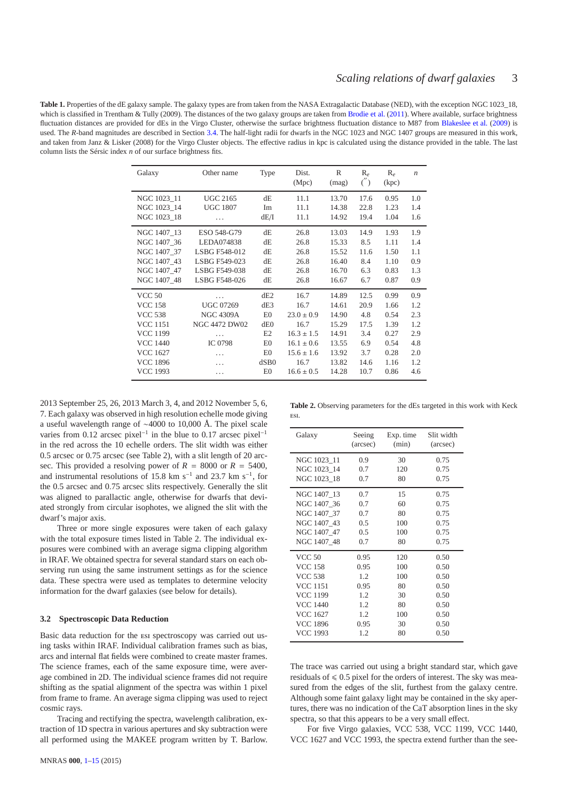<span id="page-2-1"></span>Table 1. Properties of the dE galaxy sample. The galaxy types are from taken from the NASA Extragalactic Database (NED), with the exception NGC 1023 18, which is classified in Trentham & Tully (2009). The distances of the two galaxy groups are taken from [Brodie et al.](#page-13-17) [\(2011](#page-13-17)). Where available, surface brightness fluctuation distances are provided for dEs in the Virgo Cluster, otherwise the surface brightness fluctuation distance to M87 from [Blakeslee et al.](#page-13-22) [\(2009\)](#page-13-22) is used. The *R*-band magnitudes are described in Section [3.4.](#page-5-0) The half-light radii for dwarfs in the NGC 1023 and NGC 1407 groups are measured in this work, and taken from Janz & Lisker (2008) for the Virgo Cluster objects. The effective radius in kpc is calculated using the distance provided in the table. The last column lists the Sérsic index *n* of our surface brightness fits.

| Galaxy                                    | Other name                         | Type             | Dist.<br>(Mpc)       | R<br>(mag)              | $R_e$<br>$($ <sub>'</sub> | $R_e$<br>(kpc)       | $\boldsymbol{n}$  |
|-------------------------------------------|------------------------------------|------------------|----------------------|-------------------------|---------------------------|----------------------|-------------------|
| NGC 1023 11<br>NGC 1023 14<br>NGC 1023 18 | <b>UGC 2165</b><br><b>UGC 1807</b> | dE<br>Im<br>dE/I | 11.1<br>11.1<br>11.1 | 13.70<br>14.38<br>14.92 | 17.6<br>22.8<br>19.4      | 0.95<br>1.23<br>1.04 | 1.0<br>1.4<br>1.6 |
| NGC 1407 13<br>NGC 1407 36                | .<br>ESO 548-G79<br>LEDA074838     | dE<br>dE         | 26.8<br>26.8         | 13.03<br>15.33          | 14.9<br>8.5               | 1.93<br>1.11         | 1.9<br>1.4        |
| NGC 1407 37                               | LSBG F548-012                      | dE               | 26.8                 | 15.52                   | 11.6                      | 1.50                 | 1.1               |
| NGC 1407 43                               | LSBG F549-023                      | dE               | 26.8                 | 16.40                   | 8.4                       | 1.10                 | 0.9               |
| NGC 1407 47                               | LSBG F549-038                      | dE               | 26.8                 | 16.70                   | 6.3                       | 0.83                 | 1.3               |
| NGC 1407 48                               | LSBG F548-026                      | dE               | 26.8                 | 16.67                   | 6.7                       | 0.87                 | 0.9               |
| <b>VCC 50</b>                             | .                                  | dE2              | 16.7                 | 14.89                   | 12.5                      | 0.99                 | 0.9               |
| <b>VCC 158</b>                            | <b>UGC 07269</b>                   | dE3              | 16.7                 | 14.61                   | 20.9                      | 1.66                 | 1.2               |
| <b>VCC 538</b>                            | <b>NGC 4309A</b>                   | E0               | $23.0 \pm 0.9$       | 14.90                   | 4.8                       | 0.54                 | 2.3               |
| <b>VCC 1151</b>                           | <b>NGC 4472 DW02</b>               | dE <sub>0</sub>  | 16.7                 | 15.29                   | 17.5                      | 1.39                 | 1.2               |
| <b>VCC 1199</b>                           | .                                  | E <sub>2</sub>   | $16.3 \pm 1.5$       | 14.91                   | 3.4                       | 0.27                 | 2.9               |
| <b>VCC 1440</b>                           | <b>IC 0798</b>                     | E <sub>0</sub>   | $16.1 \pm 0.6$       | 13.55                   | 6.9                       | 0.54                 | 4.8               |
| <b>VCC 1627</b>                           | .                                  | E <sub>0</sub>   | $15.6 \pm 1.6$       | 13.92                   | 3.7                       | 0.28                 | 2.0               |
| <b>VCC 1896</b>                           | .                                  | dSB0             | 16.7                 | 13.82                   | 14.6                      | 1.16                 | 1.2               |
| <b>VCC 1993</b>                           | .                                  | E <sub>0</sub>   | $16.6 \pm 0.5$       | 14.28                   | 10.7                      | 0.86                 | 4.6               |

2013 September 25, 26, 2013 March 3, 4, and 2012 November 5, 6, 7. Each galaxy was observed in high resolution echelle mode giving a useful wavelength range of ∼4000 to 10,000 Å. The pixel scale varies from 0.12 arcsec pixel<sup>-1</sup> in the blue to 0.17 arcsec pixel<sup>-1</sup> in the red across the 10 echelle orders. The slit width was either 0.5 arcsec or 0.75 arcsec (see Table 2), with a slit length of 20 arcsec. This provided a resolving power of  $R = 8000$  or  $R = 5400$ , and instrumental resolutions of 15.8 km s<sup>-1</sup> and 23.7 km s<sup>-1</sup>, for the 0.5 arcsec and 0.75 arcsec slits respectively. Generally the slit was aligned to parallactic angle, otherwise for dwarfs that deviated strongly from circular isophotes, we aligned the slit with the dwarf's major axis.

Three or more single exposures were taken of each galaxy with the total exposure times listed in Table 2. The individual exposures were combined with an average sigma clipping algorithm in IRAF. We obtained spectra for several standard stars on each observing run using the same instrument settings as for the science data. These spectra were used as templates to determine velocity information for the dwarf galaxies (see below for details).

# <span id="page-2-0"></span>**3.2 Spectroscopic Data Reduction**

Basic data reduction for the esi spectroscopy was carried out using tasks within IRAF. Individual calibration frames such as bias, arcs and internal flat fields were combined to create master frames. The science frames, each of the same exposure time, were average combined in 2D. The individual science frames did not require shifting as the spatial alignment of the spectra was within 1 pixel from frame to frame. An average sigma clipping was used to reject cosmic rays.

Tracing and rectifying the spectra, wavelength calibration, extraction of 1D spectra in various apertures and sky subtraction were all performed using the MAKEE program written by T. Barlow.

**Table 2.** Observing parameters for the dEs targeted in this work with Keck esi.

| Galaxy          | Seeing   | Exp. time | Slit width |
|-----------------|----------|-----------|------------|
|                 | (arcsec) | (min)     | (arcsec)   |
| NGC 1023 11     | 0.9      | 30        | 0.75       |
| NGC 1023 14     | 0.7      | 120       | 0.75       |
| NGC 1023 18     | 0.7      | 80        | 0.75       |
| NGC 1407 13     | 0.7      | 15        | 0.75       |
| NGC 1407 36     | 0.7      | 60        | 0.75       |
| NGC 1407 37     | 0.7      | 80        | 0.75       |
| NGC 1407 43     | 0.5      | 100       | 0.75       |
| NGC 1407 47     | 0.5      | 100       | 0.75       |
| NGC 1407 48     | 0.7      | 80        | 0.75       |
| <b>VCC 50</b>   | 0.95     | 120       | 0.50       |
| <b>VCC 158</b>  | 0.95     | 100       | 0.50       |
| <b>VCC 538</b>  | 1.2      | 100       | 0.50       |
| <b>VCC 1151</b> | 0.95     | 80        | 0.50       |
| <b>VCC 1199</b> | 1.2      | 30        | 0.50       |
| <b>VCC 1440</b> | 1.2      | 80        | 0.50       |
| <b>VCC 1627</b> | 1.2      | 100       | 0.50       |
| <b>VCC 1896</b> | 0.95     | 30        | 0.50       |
| <b>VCC 1993</b> | 1.2      | 80        | 0.50       |

The trace was carried out using a bright standard star, which gave residuals of  $\leq 0.5$  pixel for the orders of interest. The sky was measured from the edges of the slit, furthest from the galaxy centre. Although some faint galaxy light may be contained in the sky apertures, there was no indication of the CaT absorption lines in the sky spectra, so that this appears to be a very small effect.

For five Virgo galaxies, VCC 538, VCC 1199, VCC 1440, VCC 1627 and VCC 1993, the spectra extend further than the see-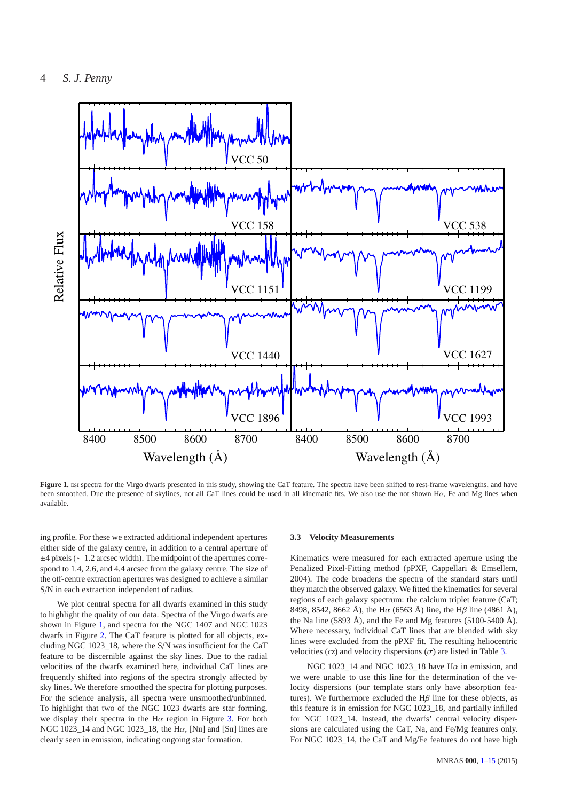

<span id="page-3-1"></span>Figure 1. Est spectra for the Virgo dwarfs presented in this study, showing the CaT feature. The spectra have been shifted to rest-frame wavelengths, and have been smoothed. Due the presence of skylines, not all CaT lines could be used in all kinematic fits. We also use the not shown Hα, Fe and Mg lines when available.

ing profile. For these we extracted additional independent apertures either side of the galaxy centre, in addition to a central aperture of ±4 pixels (∼ 1.2 arcsec width). The midpoint of the apertures correspond to 1.4, 2.6, and 4.4 arcsec from the galaxy centre. The size of the off-centre extraction apertures was designed to achieve a similar S/N in each extraction independent of radius.

We plot central spectra for all dwarfs examined in this study to highlight the quality of our data. Spectra of the Virgo dwarfs are shown in Figure [1,](#page-3-1) and spectra for the NGC 1407 and NGC 1023 dwarfs in Figure [2.](#page-4-0) The CaT feature is plotted for all objects, excluding NGC 1023\_18, where the S/N was insufficient for the CaT feature to be discernible against the sky lines. Due to the radial velocities of the dwarfs examined here, individual CaT lines are frequently shifted into regions of the spectra strongly affected by sky lines. We therefore smoothed the spectra for plotting purposes. For the science analysis, all spectra were unsmoothed/unbinned. To highlight that two of the NGC 1023 dwarfs are star forming, we display their spectra in the H $\alpha$  region in Figure [3.](#page-4-1) For both NGC 1023 14 and NGC 1023 18, the H $\alpha$ , [N<sub>II</sub>] and [S<sub>II</sub>] lines are clearly seen in emission, indicating ongoing star formation.

# <span id="page-3-0"></span>**3.3 Velocity Measurements**

Kinematics were measured for each extracted aperture using the Penalized Pixel-Fitting method (pPXF, Cappellari & Emsellem, 2004). The code broadens the spectra of the standard stars until they match the observed galaxy. We fitted the kinematics for several regions of each galaxy spectrum: the calcium triplet feature (CaT; 8498, 8542, 8662 Å), the H $\alpha$  (6563 Å) line, the H $\beta$  line (4861 Å), the Na line (5893 Å), and the Fe and Mg features (5100-5400 Å). Where necessary, individual CaT lines that are blended with sky lines were excluded from the pPXF fit. The resulting heliocentric velocities  $(cz)$  and velocity dispersions  $(\sigma)$  are listed in Table [3.](#page-5-1)

NGC 1023\_14 and NGC 1023\_18 have H $\alpha$  in emission, and we were unable to use this line for the determination of the velocity dispersions (our template stars only have absorption features). We furthermore excluded the  $H\beta$  line for these objects, as this feature is in emission for NGC 1023\_18, and partially infilled for NGC 1023\_14. Instead, the dwarfs' central velocity dispersions are calculated using the CaT, Na, and Fe/Mg features only. For NGC 1023 14, the CaT and Mg/Fe features do not have high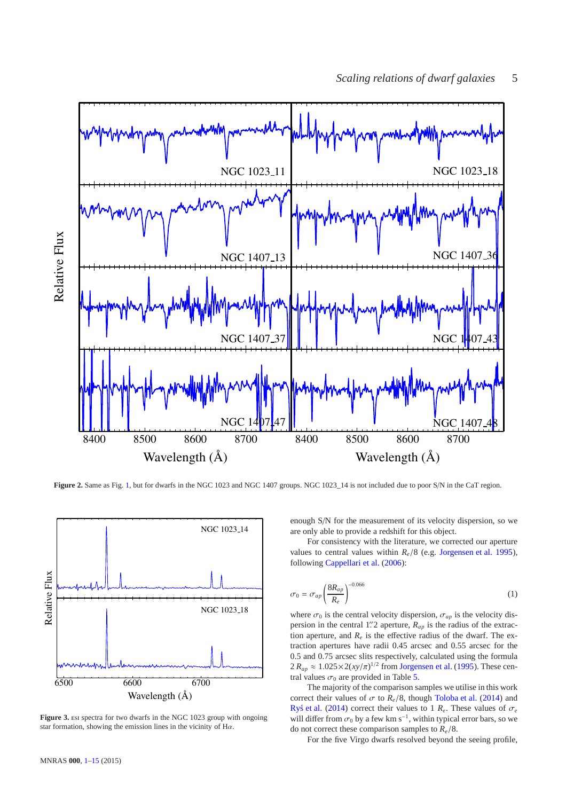

<span id="page-4-0"></span>Figure 2. Same as Fig. [1,](#page-3-1) but for dwarfs in the NGC 1023 and NGC 1407 groups. NGC 1023\_14 is not included due to poor S/N in the CaT region.



<span id="page-4-1"></span>Figure 3. Est spectra for two dwarfs in the NGC 1023 group with ongoing star formation, showing the emission lines in the vicinity of  $H\alpha$ .

enough S/N for the measurement of its velocity dispersion, so we are only able to provide a redshift for this object.

For consistency with the literature, we corrected our aperture values to central values within  $R_e/8$  (e.g. [Jorgensen et al. 1995](#page-13-23)), following [Cappellari et al.](#page-13-24) [\(2006](#page-13-24)):

$$
\sigma_0 = \sigma_{ap} \left( \frac{8R_{ap}}{R_e} \right)^{-0.066} \tag{1}
$$

where  $\sigma_0$  is the central velocity dispersion,  $\sigma_{ap}$  is the velocity dispersion in the central 1.<sup>7</sup> aperture,  $R_{ap}$  is the radius of the extraction aperture, and  $R_e$  is the effective radius of the dwarf. The extraction apertures have radii 0.45 arcsec and 0.55 arcsec for the 0.5 and 0.75 arcsec slits respectively, calculated using the formula  $2 R_{ap} \approx 1.025 \times 2(xy/\pi)^{1/2}$  from [Jorgensen et al.](#page-13-23) [\(1995](#page-13-23)). These central values  $\sigma_0$  are provided in Table [5.](#page-7-0)

The majority of the comparison samples we utilise in this work correct their values of  $\sigma$  to  $R_e/8$ , though [Toloba et al.](#page-14-10) [\(2014](#page-14-10)) and [Rys et al.](#page-14-11) [\(2014\)](#page-14-11) correct their values to 1  $R_e$ . These values of  $\sigma_e$ will differ from  $\sigma_0$  by a few km s<sup>-1</sup>, within typical error bars, so we do not correct these comparison samples to *Re*/8.

For the five Virgo dwarfs resolved beyond the seeing profile,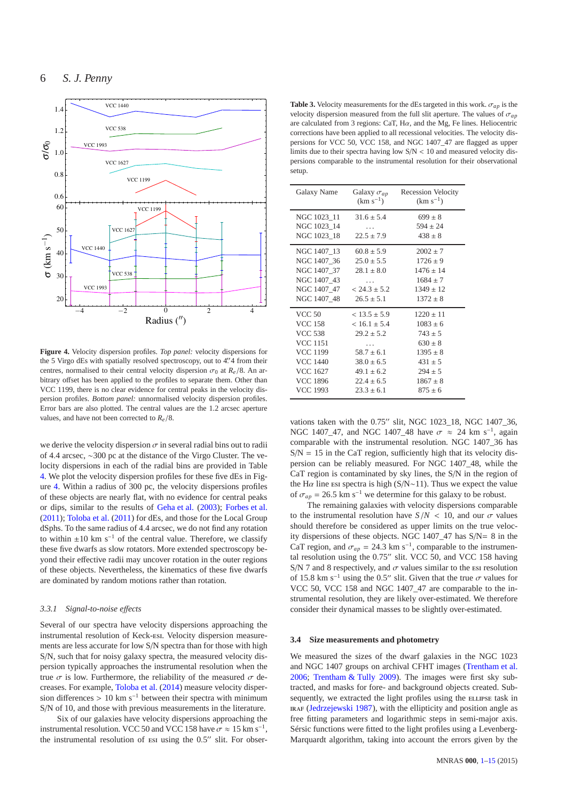

<span id="page-5-2"></span>**Figure 4.** Velocity dispersion profiles. *Top panel:* velocity dispersions for the 5 Virgo dEs with spatially resolved spectroscopy, out to 4".4 from their centres, normalised to their central velocity dispersion  $\sigma_0$  at  $R_e/8$ . An arbitrary offset has been applied to the profiles to separate them. Other than VCC 1199, there is no clear evidence for central peaks in the velocity dispersion profiles. *Bottom panel:* unnormalised velocity dispersion profiles. Error bars are also plotted. The central values are the 1.2 arcsec aperture values, and have not been corrected to *Re*/8.

we derive the velocity dispersion  $\sigma$  in several radial bins out to radii of 4.4 arcsec, ∼300 pc at the distance of the Virgo Cluster. The velocity dispersions in each of the radial bins are provided in Table [4.](#page-6-1) We plot the velocity dispersion profiles for these five dEs in Figure [4.](#page-5-2) Within a radius of 300 pc, the velocity dispersions profiles of these objects are nearly flat, with no evidence for central peaks or dips, similar to the results of [Geha et al.](#page-13-9) [\(2003](#page-13-9)); [Forbes et al.](#page-13-3) [\(2011](#page-13-3)); [Toloba et al.](#page-14-12) [\(2011](#page-14-12)) for dEs, and those for the Local Group dSphs. To the same radius of 4.4 arcsec, we do not find any rotation to within  $\pm 10$  km s<sup>-1</sup> of the central value. Therefore, we classify these five dwarfs as slow rotators. More extended spectroscopy beyond their effective radii may uncover rotation in the outer regions of these objects. Nevertheless, the kinematics of these five dwarfs are dominated by random motions rather than rotation.

# <span id="page-5-3"></span>*3.3.1 Signal-to-noise e*ff*ects*

Several of our spectra have velocity dispersions approaching the instrumental resolution of Keck-esi. Velocity dispersion measurements are less accurate for low S/N spectra than for those with high S/N, such that for noisy galaxy spectra, the measured velocity dispersion typically approaches the instrumental resolution when the true  $\sigma$  is low. Furthermore, the reliability of the measured  $\sigma$  decreases. For example, [Toloba et al.](#page-14-10) [\(2014\)](#page-14-10) measure velocity dispersion differences > 10 km s<sup>-1</sup> between their spectra with minimum S/N of 10, and those with previous measurements in the literature.

Six of our galaxies have velocity dispersions approaching the instrumental resolution. VCC 50 and VCC 158 have  $\sigma \approx 15 \text{ km s}^{-1}$ , the instrumental resolution of esi using the 0.5" slit. For obser-

<span id="page-5-1"></span>**Table 3.** Velocity measurements for the dEs targeted in this work.  $\sigma_{ap}$  is the velocity dispersion measured from the full slit aperture. The values of  $\sigma_{ap}$ are calculated from 3 regions: CaT,  $H\alpha$ , and the Mg, Fe lines. Heliocentric corrections have been applied to all recessional velocities. The velocity dispersions for VCC 50, VCC 158, and NGC 1407\_47 are flagged as upper limits due to their spectra having low  $S/N < 10$  and measured velocity dispersions comparable to the instrumental resolution for their observational setup.

| Galaxy Name                | Galaxy $\sigma_{ap}$<br>$(km s^{-1})$ | Recession Velocity<br>$(km s^{-1})$ |
|----------------------------|---------------------------------------|-------------------------------------|
| NGC 1023 11<br>NGC 1023 14 | $31.6 \pm 5.4$                        | $699 \pm 8$<br>$594 \pm 24$         |
| NGC 1023 18                | $\cdots$<br>$22.5 \pm 7.9$            | $438 \pm 8$                         |
| NGC 1407 13                | $60.8 \pm 5.9$                        | $2002 \pm 7$                        |
| NGC 1407 36                | $25.0 \pm 5.5$                        | $1726 \pm 9$                        |
| NGC 1407 37                | $28.1 \pm 8.0$                        | $1476 \pm 14$                       |
| NGC 1407 43                | .                                     | $1684 \pm 7$                        |
| NGC 1407 47                | $<$ 24.3 $\pm$ 5.2                    | $1349 \pm 12$                       |
| NGC 1407 48                | $26.5 \pm 5.1$                        | $1372 + 8$                          |
| <b>VCC 50</b>              | $< 13.5 \pm 5.9$                      | $1220 \pm 11$                       |
| <b>VCC 158</b>             | $< 16.1 \pm 5.4$                      | $1083 \pm 6$                        |
| <b>VCC 538</b>             | $29.2 \pm 5.2$                        | $743 \pm 5$                         |
| <b>VCC 1151</b>            | .                                     | $630 \pm 8$                         |
| <b>VCC 1199</b>            | $58.7 + 6.1$                          | $1395 \pm 8$                        |
| <b>VCC 1440</b>            | $38.0 \pm 6.5$                        | $431 \pm 5$                         |
| <b>VCC 1627</b>            | $49.1 \pm 6.2$                        | $294 \pm 5$                         |
| <b>VCC 1896</b>            | $22.4 \pm 6.5$                        | $1867 \pm 8$                        |
| <b>VCC 1993</b>            | $23.3 + 6.1$                          | $875 + 6$                           |

vations taken with the 0.75′′ slit, NGC 1023\_18, NGC 1407\_36, NGC 1407\_47, and NGC 1407\_48 have  $\sigma \approx 24$  km s<sup>-1</sup>, again comparable with the instrumental resolution. NGC 1407\_36 has  $S/N = 15$  in the CaT region, sufficiently high that its velocity dispersion can be reliably measured. For NGC 1407\_48, while the CaT region is contaminated by sky lines, the S/N in the region of the H $\alpha$  line esi spectra is high (S/N∼11). Thus we expect the value of  $\sigma_{ap} = 26.5$  km s<sup>-1</sup> we determine for this galaxy to be robust.

The remaining galaxies with velocity dispersions comparable to the instrumental resolution have  $S/N < 10$ , and our  $\sigma$  values should therefore be considered as upper limits on the true velocity dispersions of these objects. NGC 1407\_47 has S/N= 8 in the CaT region, and  $\sigma_{ap} = 24.3 \text{ km s}^{-1}$ , comparable to the instrumental resolution using the 0.75′′ slit. VCC 50, and VCC 158 having S/N 7 and 8 respectively, and  $\sigma$  values similar to the esi resolution of 15.8 km s<sup>-1</sup> using the 0.5" slit. Given that the true  $\sigma$  values for VCC 50, VCC 158 and NGC 1407\_47 are comparable to the instrumental resolution, they are likely over-estimated. We therefore consider their dynamical masses to be slightly over-estimated.

#### <span id="page-5-0"></span>**3.4 Size measurements and photometry**

We measured the sizes of the dwarf galaxies in the NGC 1023 and NGC 1407 groups on archival CFHT images [\(Trentham et al.](#page-14-7) [2006](#page-14-7); [Trentham & Tully 2009](#page-14-6)). The images were first sky subtracted, and masks for fore- and background objects created. Subsequently, we extracted the light profiles using the ELLIPSE task in IRAF [\(Jedrzejewski 1987](#page-13-25)), with the ellipticity and position angle as free fitting parameters and logarithmic steps in semi-major axis. Sérsic functions were fitted to the light profiles using a Levenberg-Marquardt algorithm, taking into account the errors given by the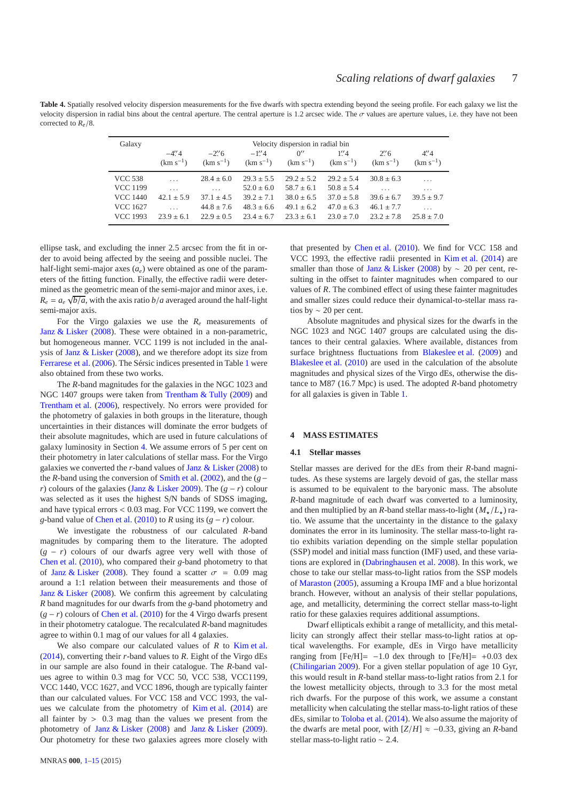<span id="page-6-1"></span>Table 4. Spatially resolved velocity dispersion measurements for the five dwarfs with spectra extending beyond the seeing profile. For each galaxy we list the velocity dispersion in radial bins about the central aperture. The central aperture is 1.2 arcsec wide. The  $\sigma$  values are aperture values, i.e. they have not been corrected to *Re*/8.

| Galaxy                             | Velocity dispersion in radial bin |                                               |                                  |                                                                 |                                |                                |                          |  |  |
|------------------------------------|-----------------------------------|-----------------------------------------------|----------------------------------|-----------------------------------------------------------------|--------------------------------|--------------------------------|--------------------------|--|--|
|                                    | $-4''_4$<br>$(km s^{-1})$         | $-2\rlap{.}^{\prime\prime}6$<br>$(km s^{-1})$ | $-1''4$                          | $0^{\prime\prime}$<br>$(km s^{-1})$ $(km s^{-1})$ $(km s^{-1})$ | $1''\,4$                       | $2''$ 6<br>$(km s^{-1})$       | 4''/4<br>$(km s^{-1})$   |  |  |
| <b>VCC 538</b>                     | $\cdots$                          | $28.4 \pm 6.0$                                | $29.3 + 5.5$                     | $29.2 + 5.2$                                                    | $29.2 + 5.4$                   | $30.8 \pm 6.3$                 | $\cdots$                 |  |  |
| <b>VCC 1199</b>                    | $\cdots$                          | $\cdots$                                      | $52.0 \pm 6.0$                   | $58.7 \pm 6.1$                                                  | $50.8 \pm 5.4$                 |                                | .                        |  |  |
| <b>VCC 1440</b>                    | $42.1 + 5.9$                      | $37.1 \pm 4.5$                                | $39.2 \pm 7.1$                   | $38.0 \pm 6.5$                                                  | $37.0 \pm 5.8$                 | $39.6 \pm 6.7$                 | $39.5 + 9.7$             |  |  |
| <b>VCC 1627</b><br><b>VCC 1993</b> | $\cdots$<br>$23.9 + 6.1$          | $44.8 \pm 7.6$<br>$22.9 \pm 0.5$              | $48.3 \pm 6.6$<br>$23.4 \pm 6.7$ | $49.1 \pm 6.2$<br>$23.3 + 6.1$                                  | $47.0 \pm 6.3$<br>$23.0 + 7.0$ | $46.1 \pm 7.7$<br>$23.2 + 7.8$ | $\cdots$<br>$25.8 + 7.0$ |  |  |

ellipse task, and excluding the inner 2.5 arcsec from the fit in order to avoid being affected by the seeing and possible nuclei. The half-light semi-major axes  $(a_e)$  were obtained as one of the parameters of the fitting function. Finally, the effective radii were determined as the geometric mean of the semi-major and minor axes, i.e.  $R_e = a_e \sqrt{b/a}$ , with the axis ratio *b*/*a* averaged around the half-light semi-major axis.

For the Virgo galaxies we use the  $R_e$  measurements of [Janz & Lisker](#page-13-26) [\(2008\)](#page-13-26). These were obtained in a non-parametric, but homogeneous manner. VCC 1199 is not included in the analysis of [Janz & Lisker](#page-13-26) [\(2008](#page-13-26)), and we therefore adopt its size from [Ferrarese et al.](#page-13-27) [\(2006\)](#page-13-27). The Sérsic indices presented in Table [1](#page-2-1) were also obtained from these two works.

The *R*-band magnitudes for the galaxies in the NGC 1023 and NGC 1407 groups were taken from [Trentham & Tully](#page-14-6) [\(2009](#page-14-6)) and [Trentham et al.](#page-14-7) [\(2006](#page-14-7)), respectively. No errors were provided for the photometry of galaxies in both groups in the literature, though uncertainties in their distances will dominate the error budgets of their absolute magnitudes, which are used in future calculations of galaxy luminosity in Section [4.](#page-6-0) We assume errors of 5 per cent on their photometry in later calculations of stellar mass. For the Virgo galaxies we converted the *r*-band values of [Janz & Lisker](#page-13-26) [\(2008](#page-13-26)) to the *R*-band using the conversion of [Smith et al.](#page-14-13) [\(2002\)](#page-14-13), and the (*g*− *r*) colours of the galaxies [\(Janz & Lisker 2009](#page-13-28)). The (*g* − *r*) colour was selected as it uses the highest S/N bands of SDSS imaging, and have typical errors < 0.03 mag. For VCC 1199, we convert the *g*-band value of [Chen et al.](#page-13-29) [\(2010](#page-13-29)) to *R* using its  $(g - r)$  colour.

We investigate the robustness of our calculated *R*-band magnitudes by comparing them to the literature. The adopted (*g* − *r*) colours of our dwarfs agree very well with those of [Chen et al.](#page-13-29) [\(2010](#page-13-29)), who compared their *g*-band photometry to that of [Janz & Lisker](#page-13-26) [\(2008](#page-13-26)). They found a scatter  $\sigma = 0.09$  mag around a 1:1 relation between their measurements and those of [Janz & Lisker](#page-13-26) [\(2008\)](#page-13-26). We confirm this agreement by calculating *R* band magnitudes for our dwarfs from the *g*-band photometry and  $(g - r)$  colours of [Chen et al.](#page-13-29) [\(2010](#page-13-29)) for the 4 Virgo dwarfs present in their photometry catalogue. The recalculated *R*-band magnitudes agree to within 0.1 mag of our values for all 4 galaxies.

We also compare our calculated values of *R* to [Kim et al.](#page-13-30) [\(2014](#page-13-30)), converting their *r*-band values to *R*. Eight of the Virgo dEs in our sample are also found in their catalogue. The *R*-band values agree to within 0.3 mag for VCC 50, VCC 538, VCC1199, VCC 1440, VCC 1627, and VCC 1896, though are typically fainter than our calculated values. For VCC 158 and VCC 1993, the values we calculate from the photometry of [Kim et al.](#page-13-30) [\(2014](#page-13-30)) are all fainter by  $> 0.3$  mag than the values we present from the photometry of [Janz & Lisker](#page-13-26) [\(2008](#page-13-26)) and [Janz & Lisker](#page-13-28) [\(2009](#page-13-28)). Our photometry for these two galaxies agrees more closely with that presented by [Chen et al.](#page-13-29) [\(2010](#page-13-29)). We find for VCC 158 and VCC 1993, the effective radii presented in [Kim et al.](#page-13-30) [\(2014\)](#page-13-30) are smaller than those of [Janz & Lisker](#page-13-26) [\(2008\)](#page-13-26) by  $\sim$  20 per cent, resulting in the offset to fainter magnitudes when compared to our values of *R*. The combined effect of using these fainter magnitudes and smaller sizes could reduce their dynamical-to-stellar mass ratios by ∼ 20 per cent.

Absolute magnitudes and physical sizes for the dwarfs in the NGC 1023 and NGC 1407 groups are calculated using the distances to their central galaxies. Where available, distances from surface brightness fluctuations from [Blakeslee et al.](#page-13-22) [\(2009](#page-13-22)) and [Blakeslee et al.](#page-13-31) [\(2010](#page-13-31)) are used in the calculation of the absolute magnitudes and physical sizes of the Virgo dEs, otherwise the distance to M87 (16.7 Mpc) is used. The adopted *R*-band photometry for all galaxies is given in Table [1.](#page-2-1)

# <span id="page-6-0"></span>**4 MASS ESTIMATES**

#### **4.1 Stellar masses**

Stellar masses are derived for the dEs from their *R*-band magnitudes. As these systems are largely devoid of gas, the stellar mass is assumed to be equivalent to the baryonic mass. The absolute *R*-band magnitude of each dwarf was converted to a luminosity, and then multiplied by an *R*-band stellar mass-to-light  $(M_{\star}/L_{\star})$  ratio. We assume that the uncertainty in the distance to the galaxy dominates the error in its luminosity. The stellar mass-to-light ratio exhibits variation depending on the simple stellar population (SSP) model and initial mass function (IMF) used, and these variations are explored in [\(Dabringhausen et al. 2008](#page-13-1)). In this work, we chose to take our stellar mass-to-light ratios from the SSP models of [Maraston](#page-13-32) [\(2005\)](#page-13-32), assuming a Kroupa IMF and a blue horizontal branch. However, without an analysis of their stellar populations, age, and metallicity, determining the correct stellar mass-to-light ratio for these galaxies requires additional assumptions.

Dwarf ellipticals exhibit a range of metallicity, and this metallicity can strongly affect their stellar mass-to-light ratios at optical wavelengths. For example, dEs in Virgo have metallicity ranging from  $[Fe/H] = -1.0$  dex through to  $[Fe/H] = +0.03$  dex [\(Chilingarian 2009](#page-13-10)). For a given stellar population of age 10 Gyr, this would result in *R*-band stellar mass-to-light ratios from 2.1 for the lowest metallicity objects, through to 3.3 for the most metal rich dwarfs. For the purpose of this work, we assume a constant metallicity when calculating the stellar mass-to-light ratios of these dEs, similar to [Toloba et al.](#page-14-10) [\(2014\)](#page-14-10). We also assume the majority of the dwarfs are metal poor, with  $[Z/H] \approx -0.33$ , giving an *R*-band stellar mass-to-light ratio ∼ 2.4.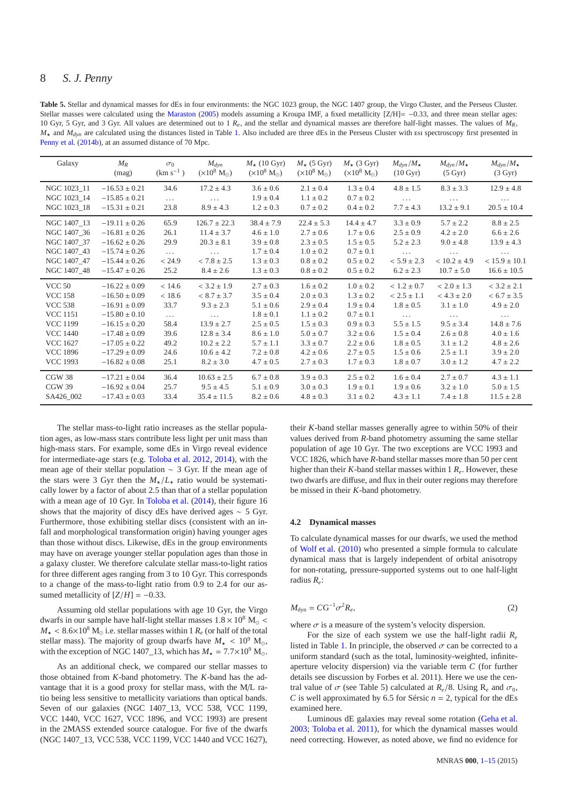<span id="page-7-0"></span>**Table 5.** Stellar and dynamical masses for dEs in four environments: the NGC 1023 group, the NGC 1407 group, the Virgo Cluster, and the Perseus Cluster. Stellar masses were calculated using the [Maraston](#page-13-32) [\(2005](#page-13-32)) models assuming a Kroupa IMF, a fixed metallicity  $[Z/H] = -0.33$ , and three mean stellar ages: 10 Gyr, 5 Gyr, and 3 Gyr. All values are determined out to 1 *Re*, and the stellar and dynamical masses are therefore half-light masses. The values of *MR*,  $M_{\star}$  and  $M_{dyn}$  are calculated using the distances listed in Table [1.](#page-2-1) Also included are three dEs in the Perseus Cluster with Esi spectroscopy first presented in [Penny et al.](#page-14-4) [\(2014b\)](#page-14-4), at an assumed distance of 70 Mpc.

| Galaxy          | $M_R$<br>(mag)    | $\sigma_0$<br>$(km s^{-1})$ | $M_{dyn}$<br>$(\times 10^8$ M <sub>o</sub> ) | $M_{\star}$ (10 Gyr)<br>$(\times 10^8$ M <sub>o</sub> ) | $M_{\star}$ (5 Gyr)<br>$(\times 10^8$ M <sub>o</sub> ) | $M_{\star}$ (3 Gyr)<br>$(\times 10^8$ M <sub>o</sub> ) | $M_{dyn}/M_{\star}$<br>$(10 \text{ Gyr})$ | $M_{dyn}/M_{\star}$<br>(5 Gyr) | $M_{dyn}/M_{\star}$<br>(3 Gyr) |
|-----------------|-------------------|-----------------------------|----------------------------------------------|---------------------------------------------------------|--------------------------------------------------------|--------------------------------------------------------|-------------------------------------------|--------------------------------|--------------------------------|
| NGC 1023_11     | $-16.53 \pm 0.21$ | 34.6                        | $17.2 \pm 4.3$                               | $3.6 \pm 0.6$                                           | $2.1 \pm 0.4$                                          | $1.3 \pm 0.4$                                          | $4.8 \pm 1.5$                             | $8.3 \pm 3.3$                  | $12.9 \pm 4.8$                 |
| NGC 1023_14     | $-15.85 \pm 0.21$ | $\ldots$                    | $\cdots$                                     | $1.9 \pm 0.4$                                           | $1.1 \pm 0.2$                                          | $0.7 \pm 0.2$                                          | $\cdots$                                  | $\cdots$                       | $\cdots$                       |
| NGC 1023 18     | $-15.31 \pm 0.21$ | 23.8                        | $8.9 \pm 4.3$                                | $1.2 \pm 0.3$                                           | $0.7 \pm 0.2$                                          | $0.4 \pm 0.2$                                          | $7.7 \pm 4.3$                             | $13.2 \pm 9.1$                 | $20.5 \pm 10.4$                |
| NGC 1407_13     | $-19.11 \pm 0.26$ | 65.9                        | $126.7 \pm 22.3$                             | $38.4 \pm 7.9$                                          | $22.4 \pm 5.3$                                         | $14.4 \pm 4.7$                                         | $3.3 \pm 0.9$                             | $5.7 \pm 2.2$                  | $8.8 \pm 2.5$                  |
| NGC 1407_36     | $-16.81 \pm 0.26$ | 26.1                        | $11.4 \pm 3.7$                               | $4.6 \pm 1.0$                                           | $2.7 \pm 0.6$                                          | $1.7 \pm 0.6$                                          | $2.5 \pm 0.9$                             | $4.2 \pm 2.0$                  | $6.6 \pm 2.6$                  |
| NGC 1407 37     | $-16.62 \pm 0.26$ | 29.9                        | $20.3\pm8.1$                                 | $3.9 \pm 0.8$                                           | $2.3 \pm 0.5$                                          | $1.5 \pm 0.5$                                          | $5.2 \pm 2.3$                             | $9.0 \pm 4.8$                  | $13.9 \pm 4.3$                 |
| NGC 1407_43     | $-15.74 \pm 0.26$ | $\ldots$                    | $\cdots$                                     | $1.7 \pm 0.4$                                           | $1.0 \pm 0.2$                                          | $0.7 \pm 0.1$                                          | $\cdots$                                  |                                | $\cdots$                       |
| NGC 1407_47     | $-15.44 \pm 0.26$ | < 24.9                      | $< 7.8 \pm 2.5$                              | $1.3 \pm 0.3$                                           | $0.8 \pm 0.2$                                          | $0.5 \pm 0.2$                                          | $< 5.9 \pm 2.3$                           | $< 10.2 \pm 4.9$               | $< 15.9 \pm 10.1$              |
| NGC 1407_48     | $-15.47 \pm 0.26$ | 25.2                        | $8.4 \pm 2.6$                                | $1.3 \pm 0.3$                                           | $0.8 \pm 0.2$                                          | $0.5 \pm 0.2$                                          | $6.2 \pm 2.3$                             | $10.7 \pm 5.0$                 | $16.6 \pm 10.5$                |
| <b>VCC 50</b>   | $-16.22 \pm 0.09$ | < 14.6                      | $< 3.2 \pm 1.9$                              | $2.7 \pm 0.3$                                           | $1.6 \pm 0.2$                                          | $1.0 \pm 0.2$                                          | $< 1.2 \pm 0.7$                           | $< 2.0 \pm 1.3$                | $<$ 3.2 $\pm$ 2.1              |
| <b>VCC 158</b>  | $-16.50 \pm 0.09$ | < 18.6                      | $< 8.7 \pm 3.7$                              | $3.5 \pm 0.4$                                           | $2.0 \pm 0.3$                                          | $1.3 \pm 0.2$                                          | $< 2.5 \pm 1.1$                           | $< 4.3 \pm 2.0$                | $< 6.7 \pm 3.5$                |
| <b>VCC 538</b>  | $-16.91 \pm 0.09$ | 33.7                        | $9.3 \pm 2.3$                                | $5.1 \pm 0.6$                                           | $2.9 \pm 0.4$                                          | $1.9 \pm 0.4$                                          | $1.8 \pm 0.5$                             | $3.1 \pm 1.0$                  | $4.9 \pm 2.0$                  |
| <b>VCC 1151</b> | $-15.80 \pm 0.10$ | $\cdots$                    | $\cdots$                                     | $1.8 \pm 0.1$                                           | $1.1 \pm 0.2$                                          | $0.7 \pm 0.1$                                          | $\cdots$                                  | $\cdots$                       | $\cdots$                       |
| <b>VCC 1199</b> | $-16.15 \pm 0.20$ | 58.4                        | $13.9 \pm 2.7$                               | $2.5 \pm 0.5$                                           | $1.5 \pm 0.3$                                          | $0.9 \pm 0.3$                                          | $5.5 \pm 1.5$                             | $9.5 \pm 3.4$                  | $14.8 \pm 7.6$                 |
| <b>VCC 1440</b> | $-17.48 \pm 0.09$ | 39.6                        | $12.8 \pm 3.4$                               | $8.6 \pm 1.0$                                           | $5.0 \pm 0.7$                                          | $3.2 \pm 0.6$                                          | $1.5 \pm 0.4$                             | $2.6 \pm 0.8$                  | $4.0\pm1.6$                    |
| <b>VCC 1627</b> | $-17.05 \pm 0.22$ | 49.2                        | $10.2 \pm 2.2$                               | $5.7 \pm 1.1$                                           | $3.3 \pm 0.7$                                          | $2.2 \pm 0.6$                                          | $1.8 \pm 0.5$                             | $3.1 \pm 1.2$                  | $4.8 \pm 2.6$                  |
| <b>VCC 1896</b> | $-17.29 \pm 0.09$ | 24.6                        | $10.6 \pm 4.2$                               | $7.2 \pm 0.8$                                           | $4.2 \pm 0.6$                                          | $2.7 \pm 0.5$                                          | $1.5 \pm 0.6$                             | $2.5 \pm 1.1$                  | $3.9 \pm 2.0$                  |
| <b>VCC 1993</b> | $-16.82 \pm 0.08$ | 25.1                        | $8.2 \pm 3.0$                                | $4.7 \pm 0.5$                                           | $2.7 \pm 0.3$                                          | $1.7 \pm 0.3$                                          | $1.8 \pm 0.7$                             | $3.0 \pm 1.2$                  | $4.7 \pm 2.2$                  |
| CGW 38          | $-17.21 \pm 0.04$ | 36.4                        | $10.63 \pm 2.5$                              | $6.7 \pm 0.8$                                           | $3.9 \pm 0.3$                                          | $2.5 \pm 0.2$                                          | $1.6 \pm 0.4$                             | $2.7 \pm 0.7$                  | $4.3 \pm 1.1$                  |
| CGW 39          | $-16.92 \pm 0.04$ | 25.7                        | $9.5 \pm 4.5$                                | $5.1 \pm 0.9$                                           | $3.0 \pm 0.3$                                          | $1.9 \pm 0.1$                                          | $1.9 \pm 0.6$                             | $3.2 \pm 1.0$                  | $5.0 \pm 1.5$                  |
| SA426_002       | $-17.43 \pm 0.03$ | 33.4                        | $35.4 \pm 11.5$                              | $8.2 \pm 0.6$                                           | $4.8 \pm 0.3$                                          | $3.1 \pm 0.2$                                          | $4.3 \pm 1.1$                             | $7.4 \pm 1.8$                  | $11.5 \pm 2.8$                 |

The stellar mass-to-light ratio increases as the stellar population ages, as low-mass stars contribute less light per unit mass than high-mass stars. For example, some dEs in Virgo reveal evidence for intermediate-age stars (e.g. [Toloba et al. 2012,](#page-14-2) [2014\)](#page-14-10), with the mean age of their stellar population ∼ 3 Gyr. If the mean age of the stars were 3 Gyr then the  $M_{\star}/L_{\star}$  ratio would be systematically lower by a factor of about 2.5 than that of a stellar population with a mean age of 10 Gyr. In [Toloba et al.](#page-14-10) [\(2014](#page-14-10)), their figure 16 shows that the majority of discy dEs have derived ages ∼ 5 Gyr. Furthermore, those exhibiting stellar discs (consistent with an infall and morphological transformation origin) having younger ages than those without discs. Likewise, dEs in the group environments may have on average younger stellar population ages than those in a galaxy cluster. We therefore calculate stellar mass-to-light ratios for three different ages ranging from 3 to 10 Gyr. This corresponds to a change of the mass-to-light ratio from 0.9 to 2.4 for our assumed metallicity of  $[Z/H] = -0.33$ .

Assuming old stellar populations with age 10 Gyr, the Virgo dwarfs in our sample have half-light stellar masses  $1.8 \times 10^8$  M<sub>o</sub> <  $M_{\star}$  < 8.6×10<sup>8</sup> M<sub>o</sub> i.e. stellar masses within 1  $R_e$  (or half of the total stellar mass). The majority of group dwarfs have  $M_{\star}$  < 10<sup>9</sup> M<sub>☉</sub>. with the exception of NGC 1407\_13, which has  $M_{\star} = 7.7 \times 10^9$  M<sub>o</sub>.

As an additional check, we compared our stellar masses to those obtained from *K*-band photometry. The *K*-band has the advantage that it is a good proxy for stellar mass, with the M/L ratio being less sensitive to metallicity variations than optical bands. Seven of our galaxies (NGC 1407\_13, VCC 538, VCC 1199, VCC 1440, VCC 1627, VCC 1896, and VCC 1993) are present in the 2MASS extended source catalogue. For five of the dwarfs (NGC 1407\_13, VCC 538, VCC 1199, VCC 1440 and VCC 1627),

their *K*-band stellar masses generally agree to within 50% of their values derived from *R*-band photometry assuming the same stellar population of age 10 Gyr. The two exceptions are VCC 1993 and VCC 1826, which have *R*-band stellar masses more than 50 per cent higher than their *K*-band stellar masses within 1  $R_e$ . However, these two dwarfs are diffuse, and flux in their outer regions may therefore be missed in their *K*-band photometry.

#### **4.2 Dynamical masses**

To calculate dynamical masses for our dwarfs, we used the method of [Wolf et al.](#page-14-0) [\(2010](#page-14-0)) who presented a simple formula to calculate dynamical mass that is largely independent of orbital anisotropy for non-rotating, pressure-supported systems out to one half-light radius *Re*:

$$
M_{\rm dyn} = C G^{-1} \sigma^2 R_e, \tag{2}
$$

where  $\sigma$  is a measure of the system's velocity dispersion.

For the size of each system we use the half-light radii  $R_e$ listed in Table [1.](#page-2-1) In principle, the observed  $\sigma$  can be corrected to a uniform standard (such as the total, luminosity-weighted, infiniteaperture velocity dispersion) via the variable term *C* (for further details see discussion by Forbes et al. 2011). Here we use the central value of  $\sigma$  (see Table 5) calculated at  $R_e/8$ . Using  $R_e$  and  $\sigma_0$ , *C* is well approximated by 6.5 for Sérsic  $n = 2$ , typical for the dEs examined here.

Luminous dE galaxies may reveal some rotation [\(Geha et al.](#page-13-9) [2003](#page-13-9); [Toloba et al. 2011](#page-14-12)), for which the dynamical masses would need correcting. However, as noted above, we find no evidence for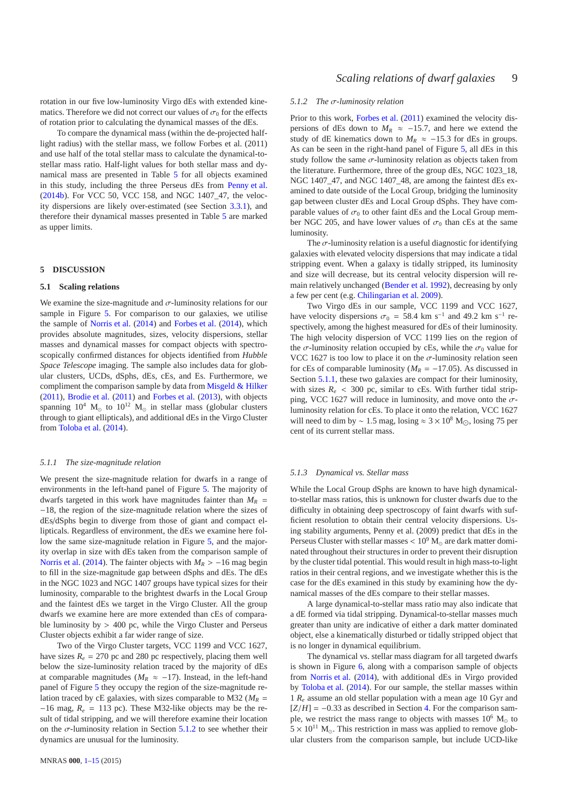rotation in our five low-luminosity Virgo dEs with extended kinematics. Therefore we did not correct our values of  $\sigma_0$  for the effects of rotation prior to calculating the dynamical masses of the dEs.

To compare the dynamical mass (within the de-projected halflight radius) with the stellar mass, we follow Forbes et al. (2011) and use half of the total stellar mass to calculate the dynamical-tostellar mass ratio. Half-light values for both stellar mass and dynamical mass are presented in Table [5](#page-7-0) for all objects examined in this study, including the three Perseus dEs from [Penny et al.](#page-14-4) [\(2014b](#page-14-4)). For VCC 50, VCC 158, and NGC 1407\_47, the velocity dispersions are likely over-estimated (see Section [3.3.1\)](#page-5-3), and therefore their dynamical masses presented in Table [5](#page-7-0) are marked as upper limits.

#### <span id="page-8-0"></span>**5 DISCUSSION**

#### **5.1 Scaling relations**

We examine the size-magnitude and  $\sigma$ -luminosity relations for our sample in Figure [5.](#page-9-0) For comparison to our galaxies, we utilise the sample of [Norris et al.](#page-13-7) [\(2014](#page-13-7)) and [Forbes et al.](#page-13-5) [\(2014](#page-13-5)), which provides absolute magnitudes, sizes, velocity dispersions, stellar masses and dynamical masses for compact objects with spectroscopically confirmed distances for objects identified from *Hubble Space Telescope* imaging. The sample also includes data for globular clusters, UCDs, dSphs, dEs, cEs, and Es. Furthermore, we compliment the comparison sample by data from [Misgeld & Hilker](#page-13-4) [\(2011](#page-13-4)), [Brodie et al.](#page-13-17) [\(2011](#page-13-17)) and [Forbes et al.](#page-13-33) [\(2013\)](#page-13-33), with objects spanning  $10^4$  M<sub>☉</sub> to  $10^{12}$  M<sub>☉</sub> in stellar mass (globular clusters through to giant ellipticals), and additional dEs in the Virgo Cluster from [Toloba et al.](#page-14-10) [\(2014](#page-14-10)).

#### <span id="page-8-2"></span>*5.1.1 The size-magnitude relation*

We present the size-magnitude relation for dwarfs in a range of environments in the left-hand panel of Figure [5.](#page-9-0) The majority of dwarfs targeted in this work have magnitudes fainter than  $M_R$  = −18, the region of the size-magnitude relation where the sizes of dEs/dSphs begin to diverge from those of giant and compact ellipticals. Regardless of environment, the dEs we examine here follow the same size-magnitude relation in Figure [5,](#page-9-0) and the majority overlap in size with dEs taken from the comparison sample of [Norris et al.](#page-13-7) [\(2014](#page-13-7)). The fainter objects with *M<sup>R</sup>* > −16 mag begin to fill in the size-magnitude gap between dSphs and dEs. The dEs in the NGC 1023 and NGC 1407 groups have typical sizes for their luminosity, comparable to the brightest dwarfs in the Local Group and the faintest dEs we target in the Virgo Cluster. All the group dwarfs we examine here are more extended than cEs of comparable luminosity by  $> 400$  pc, while the Virgo Cluster and Perseus Cluster objects exhibit a far wider range of size.

Two of the Virgo Cluster targets, VCC 1199 and VCC 1627, have sizes  $R_e = 270$  pc and 280 pc respectively, placing them well below the size-luminosity relation traced by the majority of dEs at comparable magnitudes ( $M_R \approx -17$ ). Instead, in the left-hand panel of Figure [5](#page-9-0) they occupy the region of the size-magnitude relation traced by cE galaxies, with sizes comparable to M32 ( $M_R$  = −16 mag, *R<sup>e</sup>* = 113 pc). These M32-like objects may be the result of tidal stripping, and we will therefore examine their location on the  $\sigma$ -luminosity relation in Section [5.1.2](#page-8-1) to see whether their dynamics are unusual for the luminosity.

## <span id="page-8-1"></span>*5.1.2 The* σ*-luminosity relation*

Prior to this work, [Forbes et al.](#page-13-3) [\(2011](#page-13-3)) examined the velocity dispersions of dEs down to  $M_R \approx -15.7$ , and here we extend the study of dE kinematics down to  $M_R \approx -15.3$  for dEs in groups. As can be seen in the right-hand panel of Figure [5,](#page-9-0) all dEs in this study follow the same  $\sigma$ -luminosity relation as objects taken from the literature. Furthermore, three of the group dEs, NGC 1023\_18, NGC 1407\_47, and NGC 1407\_48, are among the faintest dEs examined to date outside of the Local Group, bridging the luminosity gap between cluster dEs and Local Group dSphs. They have comparable values of  $\sigma_0$  to other faint dEs and the Local Group member NGC 205, and have lower values of  $\sigma_0$  than cEs at the same luminosity.

The  $\sigma$ -luminosity relation is a useful diagnostic for identifying galaxies with elevated velocity dispersions that may indicate a tidal stripping event. When a galaxy is tidally stripped, its luminosity and size will decrease, but its central velocity dispersion will remain relatively unchanged [\(Bender et al. 1992\)](#page-13-34), decreasing by only a few per cent (e.g. [Chilingarian et al. 2009](#page-13-35)).

Two Virgo dEs in our sample, VCC 1199 and VCC 1627, have velocity dispersions  $\sigma_0 = 58.4$  km s<sup>-1</sup> and 49.2 km s<sup>-1</sup> respectively, among the highest measured for dEs of their luminosity. The high velocity dispersion of VCC 1199 lies on the region of the  $\sigma$ -luminosity relation occupied by cEs, while the  $\sigma_0$  value for VCC 1627 is too low to place it on the  $\sigma$ -luminosity relation seen for cEs of comparable luminosity ( $M_R$  = −17.05). As discussed in Section [5.1.1,](#page-8-2) these two galaxies are compact for their luminosity, with sizes  $R_e$  < 300 pc, similar to cEs. With further tidal stripping, VCC 1627 will reduce in luminosity, and move onto the  $\sigma$ luminosity relation for cEs. To place it onto the relation, VCC 1627 will need to dim by ~ 1.5 mag, losing  $\approx 3 \times 10^8$  M<sub>☉</sub>, losing 75 per cent of its current stellar mass.

# *5.1.3 Dynamical vs. Stellar mass*

While the Local Group dSphs are known to have high dynamicalto-stellar mass ratios, this is unknown for cluster dwarfs due to the difficulty in obtaining deep spectroscopy of faint dwarfs with sufficient resolution to obtain their central velocity dispersions. Using stability arguments, Penny et al. (2009) predict that dEs in the Perseus Cluster with stellar masses  $< 10<sup>9</sup> M<sub>o</sub>$  are dark matter dominated throughout their structures in order to prevent their disruption by the cluster tidal potential. This would result in high mass-to-light ratios in their central regions, and we investigate whether this is the case for the dEs examined in this study by examining how the dynamical masses of the dEs compare to their stellar masses.

A large dynamical-to-stellar mass ratio may also indicate that a dE formed via tidal stripping. Dynamical-to-stellar masses much greater than unity are indicative of either a dark matter dominated object, else a kinematically disturbed or tidally stripped object that is no longer in dynamical equilibrium.

The dynamical vs. stellar mass diagram for all targeted dwarfs is shown in Figure [6,](#page-10-0) along with a comparison sample of objects from [Norris et al.](#page-13-7) [\(2014](#page-13-7)), with additional dEs in Virgo provided by [Toloba et al.](#page-14-10) [\(2014](#page-14-10)). For our sample, the stellar masses within 1 *R<sup>e</sup>* assume an old stellar population with a mean age 10 Gyr and  $[Z/H] = -0.33$  as described in Section [4.](#page-6-0) For the comparison sample, we restrict the mass range to objects with masses  $10^6$  M<sub>o</sub> to  $5 \times 10^{11}$  M<sub>o</sub>. This restriction in mass was applied to remove globular clusters from the comparison sample, but include UCD-like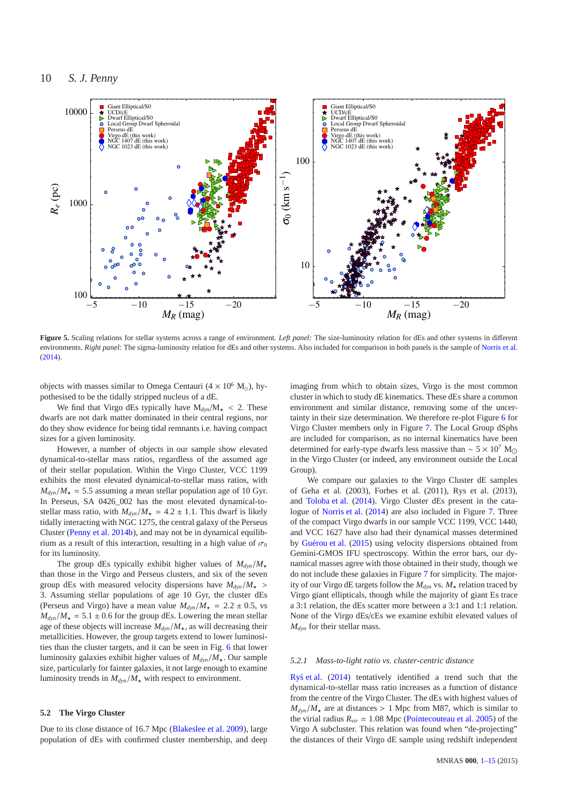

<span id="page-9-0"></span>Figure 5. Scaling relations for stellar systems across a range of environment. *Left panel:* The size-luminosity relation for dEs and other systems in different environments. *Right panel:* The sigma-luminosity relation for dEs and other systems. Also included for comparison in both panels is the sample of [Norris et al.](#page-13-7) [\(2014\)](#page-13-7).

objects with masses similar to Omega Centauri (4  $\times$  10<sup>6</sup> M<sub>☉</sub>), hypothesised to be the tidally stripped nucleus of a dE.

We find that Virgo dEs typically have  $M_{dyn}/M_{\star}$  < 2. These dwarfs are not dark matter dominated in their central regions, nor do they show evidence for being tidal remnants i.e. having compact sizes for a given luminosity.

However, a number of objects in our sample show elevated dynamical-to-stellar mass ratios, regardless of the assumed age of their stellar population. Within the Virgo Cluster, VCC 1199 exhibits the most elevated dynamical-to-stellar mass ratios, with  $M_{dyn}/M_{\star} = 5.5$  assuming a mean stellar population age of 10 Gyr. In Perseus, SA 0426\_002 has the most elevated dynamical-tostellar mass ratio, with  $M_{dyn}/M_{\star} = 4.2 \pm 1.1$ . This dwarf is likely tidally interacting with NGC 1275, the central galaxy of the Perseus Cluster [\(Penny et al. 2014b\)](#page-14-4), and may not be in dynamical equilibrium as a result of this interaction, resulting in a high value of  $\sigma_0$ for its luminosity.

The group dEs typically exhibit higher values of  $M_{dyn}/M_{\star}$ than those in the Virgo and Perseus clusters, and six of the seven group dEs with measured velocity dispersions have  $M_{dyn}/M_{\star}$ 3. Assuming stellar populations of age 10 Gyr, the cluster dEs (Perseus and Virgo) have a mean value  $M_{dyn}/M_{\star} = 2.2 \pm 0.5$ , vs  $M_{dyn}/M_{\star} = 5.1 \pm 0.6$  for the group dEs. Lowering the mean stellar age of these objects will increase  $M_{dyn}/M_{\star}$ , as will decreasing their metallicities. However, the group targets extend to lower luminosities than the cluster targets, and it can be seen in Fig. [6](#page-10-0) that lower luminosity galaxies exhibit higher values of  $M_{dyn}/M_{\star}$ . Our sample size, particularly for fainter galaxies, it not large enough to examine luminosity trends in  $M_{dyn}/M_{\star}$  with respect to environment.

# **5.2 The Virgo Cluster**

Due to its close distance of 16.7 Mpc [\(Blakeslee et al. 2009\)](#page-13-22), large population of dEs with confirmed cluster membership, and deep imaging from which to obtain sizes, Virgo is the most common cluster in which to study dE kinematics. These dEs share a common environment and similar distance, removing some of the uncertainty in their size determination. We therefore re-plot Figure [6](#page-10-0) for Virgo Cluster members only in Figure [7.](#page-10-1) The Local Group dSphs are included for comparison, as no internal kinematics have been determined for early-type dwarfs less massive than ~  $5 \times 10^7$  M<sub>○</sub> in the Virgo Cluster (or indeed, any environment outside the Local Group).

We compare our galaxies to the Virgo Cluster dE samples of Geha et al. (2003), Forbes et al. (2011), Rys et al. (2013), and [Toloba et al.](#page-14-10) [\(2014](#page-14-10)). Virgo Cluster dEs present in the catalogue of [Norris et al.](#page-13-7) [\(2014](#page-13-7)) are also included in Figure [7.](#page-10-1) Three of the compact Virgo dwarfs in our sample VCC 1199, VCC 1440, and VCC 1627 have also had their dynamical masses determined by [Guérou et al.](#page-13-36) [\(2015](#page-13-36)) using velocity dispersions obtained from Gemini-GMOS IFU spectroscopy. Within the error bars, our dynamical masses agree with those obtained in their study, though we do not include these galaxies in Figure [7](#page-10-1) for simplicity. The majority of our Virgo dE targets follow the  $M_{dyn}$  vs.  $M_{\star}$  relation traced by Virgo giant ellipticals, though while the majority of giant Es trace a 3:1 relation, the dEs scatter more between a 3:1 and 1:1 relation. None of the Virgo dEs/cEs we examine exhibit elevated values of *Mdyn* for their stellar mass.

## *5.2.1 Mass-to-light ratio vs. cluster-centric distance*

[Rys et al.](#page-14-11)  $(2014)$  $(2014)$  tentatively identified a trend such that the dynamical-to-stellar mass ratio increases as a function of distance from the centre of the Virgo Cluster. The dEs with highest values of  $M_{dyn}/M_{\star}$  are at distances > 1 Mpc from M87, which is similar to the virial radius  $R_{vir} = 1.08$  Mpc [\(Pointecouteau et al. 2005](#page-14-14)) of the Virgo A subcluster. This relation was found when "de-projecting" the distances of their Virgo dE sample using redshift independent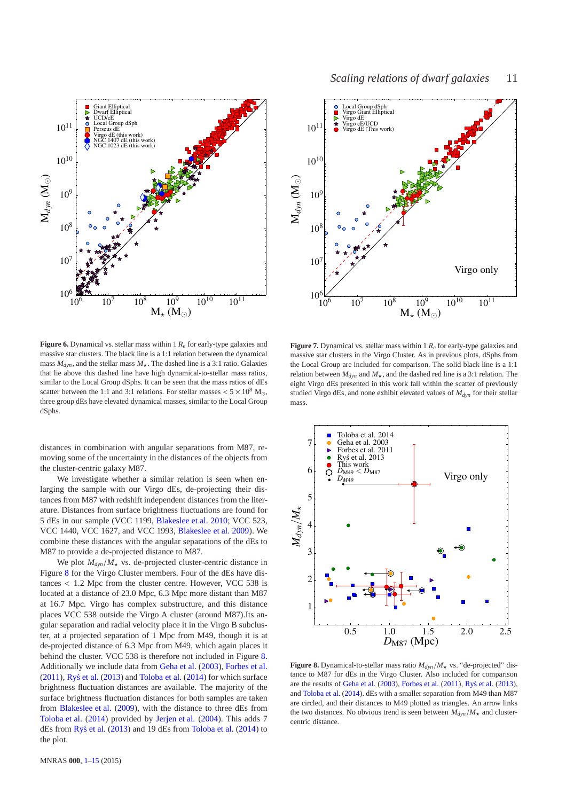

<span id="page-10-0"></span>**Figure 6.** Dynamical vs. stellar mass within 1 *R<sup>e</sup>* for early-type galaxies and massive star clusters. The black line is a 1:1 relation between the dynamical mass  $M_{dyn}$ , and the stellar mass  $M_{\star}$ . The dashed line is a 3:1 ratio. Galaxies that lie above this dashed line have high dynamical-to-stellar mass ratios, similar to the Local Group dSphs. It can be seen that the mass ratios of dEs scatter between the 1:1 and 3:1 relations. For stellar masses  $< 5 \times 10^8$  M<sub>☉</sub>, three group dEs have elevated dynamical masses, similar to the Local Group dSphs.

distances in combination with angular separations from M87, removing some of the uncertainty in the distances of the objects from the cluster-centric galaxy M87.

We investigate whether a similar relation is seen when enlarging the sample with our Virgo dEs, de-projecting their distances from M87 with redshift independent distances from the literature. Distances from surface brightness fluctuations are found for 5 dEs in our sample (VCC 1199, [Blakeslee et al. 2010](#page-13-31); VCC 523, VCC 1440, VCC 1627, and VCC 1993, [Blakeslee et al. 2009\)](#page-13-22). We combine these distances with the angular separations of the dEs to M87 to provide a de-projected distance to M87.

We plot  $M_{dyn}/M_{\star}$  vs. de-projected cluster-centric distance in Figure [8](#page-10-2) for the Virgo Cluster members. Four of the dEs have distances < 1.2 Mpc from the cluster centre. However, VCC 538 is located at a distance of 23.0 Mpc, 6.3 Mpc more distant than M87 at 16.7 Mpc. Virgo has complex substructure, and this distance places VCC 538 outside the Virgo A cluster (around M87).Its angular separation and radial velocity place it in the Virgo B subcluster, at a projected separation of 1 Mpc from M49, though it is at de-projected distance of 6.3 Mpc from M49, which again places it behind the cluster. VCC 538 is therefore not included in Figure [8.](#page-10-2) Additionally we include data from [Geha et al.](#page-13-9) [\(2003\)](#page-13-9), [Forbes et al.](#page-13-3)  $(2011)$  $(2011)$ , [Rys et al.](#page-14-15)  $(2013)$  and [Toloba et al.](#page-14-10)  $(2014)$  $(2014)$  for which surface brightness fluctuation distances are available. The majority of the surface brightness fluctuation distances for both samples are taken from [Blakeslee et al.](#page-13-22) [\(2009](#page-13-22)), with the distance to three dEs from [Toloba et al.](#page-14-10) [\(2014\)](#page-14-10) provided by [Jerjen et al.](#page-13-37) [\(2004](#page-13-37)). This adds 7 dEs from [Rys et al.](#page-14-15)  $(2013)$  $(2013)$  and 19 dEs from [Toloba et al.](#page-14-10)  $(2014)$  $(2014)$  to the plot.



<span id="page-10-1"></span>**Figure 7.** Dynamical vs. stellar mass within 1 *R<sup>e</sup>* for early-type galaxies and massive star clusters in the Virgo Cluster. As in previous plots, dSphs from the Local Group are included for comparison. The solid black line is a 1:1 relation between  $M_{dyn}$  and  $M_{\star}$ , and the dashed red line is a 3:1 relation. The eight Virgo dEs presented in this work fall within the scatter of previously studied Virgo dEs, and none exhibit elevated values of *Mdyn* for their stellar mass.



<span id="page-10-2"></span>**Figure 8.** Dynamical-to-stellar mass ratio  $M_{dyn}/M_{\star}$  vs. "de-projected" distance to M87 for dEs in the Virgo Cluster. Also included for comparison are the results of [Geha et al.](#page-13-9)  $(2003)$ , [Forbes et al.](#page-13-3)  $(2011)$  $(2011)$ , [Rys et al.](#page-14-15)  $(2013)$ , and [Toloba et al.](#page-14-10) [\(2014](#page-14-10)). dEs with a smaller separation from M49 than M87 are circled, and their distances to M49 plotted as triangles. An arrow links the two distances. No obvious trend is seen between  $M_{dyn}/M_{\star}$  and clustercentric distance.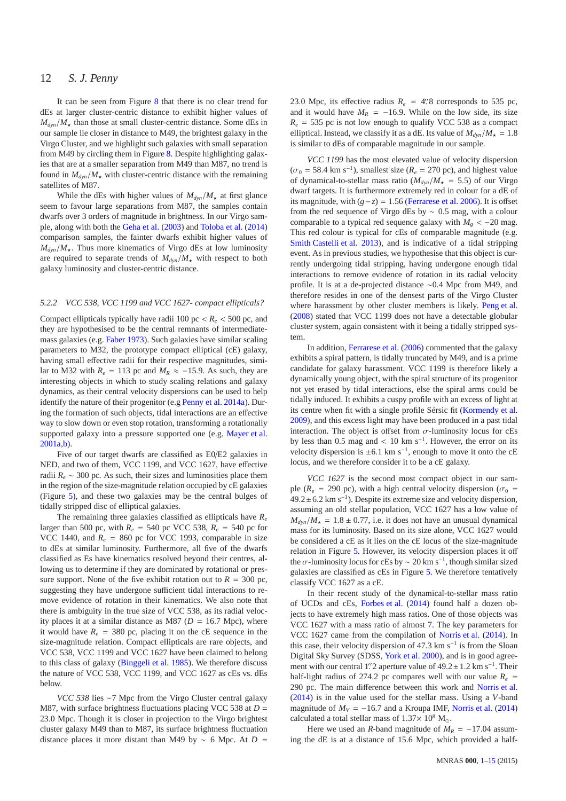It can be seen from Figure [8](#page-10-2) that there is no clear trend for dEs at larger cluster-centric distance to exhibit higher values of  $M_{dyn}/M_{\star}$  than those at small cluster-centric distance. Some dEs in our sample lie closer in distance to M49, the brightest galaxy in the Virgo Cluster, and we highlight such galaxies with small separation from M49 by circling them in Figure [8.](#page-10-2) Despite highlighting galaxies that are at a smaller separation from M49 than M87, no trend is found in  $M_{dyn}/M_{\star}$  with cluster-centric distance with the remaining satellites of M87.

While the dEs with higher values of  $M_{dyn}/M_{\star}$  at first glance seem to favour large separations from M87, the samples contain dwarfs over 3 orders of magnitude in brightness. In our Virgo sample, along with both the [Geha et al.](#page-13-9) [\(2003](#page-13-9)) and [Toloba et al.](#page-14-10) [\(2014](#page-14-10)) comparison samples, the fainter dwarfs exhibit higher values of  $M_{dyn}/M_{\star}$ . Thus more kinematics of Virgo dEs at low luminosity are required to separate trends of  $M_{dyn}/M_{\star}$  with respect to both galaxy luminosity and cluster-centric distance.

# *5.2.2 VCC 538, VCC 1199 and VCC 1627- compact ellipticals?*

Compact ellipticals typically have radii 100 pc  $R_e$  < 500 pc, and they are hypothesised to be the central remnants of intermediatemass galaxies (e.g. [Faber 1973](#page-13-38)). Such galaxies have similar scaling parameters to M32, the prototype compact elliptical (cE) galaxy, having small effective radii for their respective magnitudes, similar to M32 with  $R_e = 113$  pc and  $M_R \approx -15.9$ . As such, they are interesting objects in which to study scaling relations and galaxy dynamics, as their central velocity dispersions can be used to help identify the nature of their progenitor (e.g [Penny et al. 2014a](#page-14-16)). During the formation of such objects, tidal interactions are an effective way to slow down or even stop rotation, transforming a rotationally supported galaxy into a pressure supported one (e.g. [Mayer et al.](#page-13-39) [2001a](#page-13-39)[,b\)](#page-13-40).

Five of our target dwarfs are classified as E0/E2 galaxies in NED, and two of them, VCC 1199, and VCC 1627, have effective radii  $R_e \sim 300$  pc. As such, their sizes and luminosities place them in the region of the size-magnitude relation occupied by cE galaxies (Figure [5\)](#page-9-0), and these two galaxies may be the central bulges of tidally stripped disc of elliptical galaxies.

The remaining three galaxies classified as ellipticals have *R<sup>e</sup>* larger than 500 pc, with  $R_e = 540$  pc VCC 538,  $R_e = 540$  pc for VCC 1440, and  $R_e$  = 860 pc for VCC 1993, comparable in size to dEs at similar luminosity. Furthermore, all five of the dwarfs classified as Es have kinematics resolved beyond their centres, allowing us to determine if they are dominated by rotational or pressure support. None of the five exhibit rotation out to  $R = 300$  pc, suggesting they have undergone sufficient tidal interactions to remove evidence of rotation in their kinematics. We also note that there is ambiguity in the true size of VCC 538, as its radial velocity places it at a similar distance as M87 ( $D = 16.7$  Mpc), where it would have  $R_e = 380$  pc, placing it on the cE sequence in the size-magnitude relation. Compact ellipticals are rare objects, and VCC 538, VCC 1199 and VCC 1627 have been claimed to belong to this class of galaxy [\(Binggeli et al. 1985](#page-13-21)). We therefore discuss the nature of VCC 538, VCC 1199, and VCC 1627 as cEs vs. dEs below.

*VCC 538* lies ∼7 Mpc from the Virgo Cluster central galaxy M87, with surface brightness fluctuations placing VCC 538 at *D* = 23.0 Mpc. Though it is closer in projection to the Virgo brightest cluster galaxy M49 than to M87, its surface brightness fluctuation distance places it more distant than M49 by ∼ 6 Mpc. At *D* =

23.0 Mpc, its effective radius  $R_e = 4$ . 8 corresponds to 535 pc, and it would have  $M_R$  = −16.9. While on the low side, its size  $R_e$  = 535 pc is not low enough to qualify VCC 538 as a compact elliptical. Instead, we classify it as a dE. Its value of  $M_{dyn}/M_{\star} = 1.8$ is similar to dEs of comparable magnitude in our sample.

*VCC 1199* has the most elevated value of velocity dispersion  $(\sigma_0 = 58.4 \text{ km s}^{-1})$ , smallest size ( $R_e = 270 \text{ pc}$ ), and highest value of dynamical-to-stellar mass ratio ( $M_{dyn}/M_{\star}$  = 5.5) of our Virgo dwarf targets. It is furthermore extremely red in colour for a dE of its magnitude, with  $(g-z) = 1.56$  [\(Ferrarese et al. 2006\)](#page-13-27). It is offset from the red sequence of Virgo dEs by ∼ 0.5 mag, with a colour comparable to a typical red sequence galaxy with  $M_g < -20$  mag. This red colour is typical for cEs of comparable magnitude (e.g. [Smith Castelli et al. 2013\)](#page-14-17), and is indicative of a tidal stripping event. As in previous studies, we hypothesise that this object is currently undergoing tidal stripping, having undergone enough tidal interactions to remove evidence of rotation in its radial velocity profile. It is at a de-projected distance ∼0.4 Mpc from M49, and therefore resides in one of the densest parts of the Virgo Cluster where harassment by other cluster members is likely. [Peng et al.](#page-13-41) [\(2008](#page-13-41)) stated that VCC 1199 does not have a detectable globular cluster system, again consistent with it being a tidally stripped system.

In addition, [Ferrarese et al.](#page-13-27) [\(2006](#page-13-27)) commented that the galaxy exhibits a spiral pattern, is tidally truncated by M49, and is a prime candidate for galaxy harassment. VCC 1199 is therefore likely a dynamically young object, with the spiral structure of its progenitor not yet erased by tidal interactions, else the spiral arms could be tidally induced. It exhibits a cuspy profile with an excess of light at its centre when fit with a single profile Sérsic fit [\(Kormendy et al.](#page-13-42) [2009](#page-13-42)), and this excess light may have been produced in a past tidal interaction. The object is offset from  $\sigma$ -luminosity locus for cEs by less than 0.5 mag and < 10 km s<sup>-1</sup>. However, the error on its velocity dispersion is  $\pm 6.1 \text{ km s}^{-1}$ , enough to move it onto the cE locus, and we therefore consider it to be a cE galaxy.

*VCC 1627* is the second most compact object in our sample ( $R_e$  = 290 pc), with a high central velocity dispersion ( $\sigma_0$  =  $49.2 \pm 6.2$  km s<sup>-1</sup>). Despite its extreme size and velocity dispersion, assuming an old stellar population, VCC 1627 has a low value of  $M_{dyn}/M_{\star} = 1.8 \pm 0.77$ , i.e. it does not have an unusual dynamical mass for its luminosity. Based on its size alone, VCC 1627 would be considered a cE as it lies on the cE locus of the size-magnitude relation in Figure [5.](#page-9-0) However, its velocity dispersion places it off the  $\sigma$ -luminosity locus for cEs by ~ 20 km s<sup>-1</sup>, though similar sized galaxies are classified as cEs in Figure [5.](#page-9-0) We therefore tentatively classify VCC 1627 as a cE.

In their recent study of the dynamical-to-stellar mass ratio of UCDs and cEs, [Forbes et al.](#page-13-5) [\(2014](#page-13-5)) found half a dozen objects to have extremely high mass ratios. One of those objects was VCC 1627 with a mass ratio of almost 7. The key parameters for VCC 1627 came from the compilation of [Norris et al.](#page-13-7) [\(2014](#page-13-7)). In this case, their velocity dispersion of 47.3 km s<sup>-1</sup> is from the Sloan Digital Sky Survey (SDSS, [York et al. 2000\)](#page-14-9), and is in good agreement with our central 1". 2 aperture value of  $49.2 \pm 1.2$  km s<sup>-1</sup>. Their half-light radius of 274.2 pc compares well with our value  $R_e$  = 290 pc. The main difference between this work and [Norris et al.](#page-13-7) [\(2014](#page-13-7)) is in the value used for the stellar mass. Using a *V*-band magnitude of  $M_V = -16.7$  and a Kroupa IMF, [Norris et al.](#page-13-7) [\(2014](#page-13-7)) calculated a total stellar mass of  $1.37\times 10^8$  M<sub>☉</sub>.

Here we used an *R*-band magnitude of  $M_R = -17.04$  assuming the dE is at a distance of 15.6 Mpc, which provided a half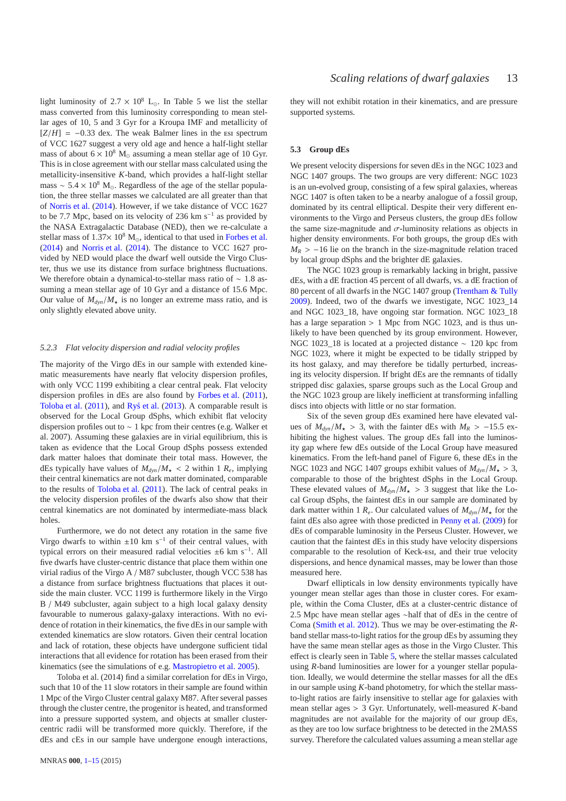light luminosity of  $2.7 \times 10^8$  L<sub>☉</sub>. In Table 5 we list the stellar mass converted from this luminosity corresponding to mean stellar ages of 10, 5 and 3 Gyr for a Kroupa IMF and metallicity of  $[Z/H] = -0.33$  dex. The weak Balmer lines in the est spectrum of VCC 1627 suggest a very old age and hence a half-light stellar mass of about  $6 \times 10^8$  M<sub>☉</sub> assuming a mean stellar age of 10 Gyr. This is in close agreement with our stellar mass calculated using the metallicity-insensitive *K*-band, which provides a half-light stellar mass ~  $5.4 \times 10^8$  M<sub>☉</sub>. Regardless of the age of the stellar population, the three stellar masses we calculated are all greater than that of [Norris et al.](#page-13-7) [\(2014](#page-13-7)). However, if we take distance of VCC 1627 to be 7.7 Mpc, based on its velocity of 236 km s<sup>-1</sup> as provided by the NASA Extragalactic Database (NED), then we re-calculate a stellar mass of  $1.37 \times 10^8$  M<sub>o</sub>, identical to that used in [Forbes et al.](#page-13-5) [\(2014](#page-13-5)) and [Norris et al.](#page-13-7) [\(2014](#page-13-7)). The distance to VCC 1627 provided by NED would place the dwarf well outside the Virgo Cluster, thus we use its distance from surface brightness fluctuations. We therefore obtain a dynamical-to-stellar mass ratio of ∼ 1.8 assuming a mean stellar age of 10 Gyr and a distance of 15.6 Mpc. Our value of  $M_{dyn}/M_{\star}$  is no longer an extreme mass ratio, and is only slightly elevated above unity.

#### *5.2.3 Flat velocity dispersion and radial velocity profiles*

The majority of the Virgo dEs in our sample with extended kinematic measurements have nearly flat velocity dispersion profiles, with only VCC 1199 exhibiting a clear central peak. Flat velocity dispersion profiles in dEs are also found by [Forbes et al.](#page-13-3) [\(2011](#page-13-3)), [Toloba et al.](#page-14-12)  $(2011)$  $(2011)$ , and [Rys et al.](#page-14-15)  $(2013)$ . A comparable result is observed for the Local Group dSphs, which exhibit flat velocity dispersion profiles out to ∼ 1 kpc from their centres (e.g. Walker et al. 2007). Assuming these galaxies are in virial equilibrium, this is taken as evidence that the Local Group dSphs possess extended dark matter haloes that dominate their total mass. However, the dEs typically have values of  $M_{dyn}/M_{\star}$  < 2 within 1  $R_e$ , implying their central kinematics are not dark matter dominated, comparable to the results of [Toloba et al.](#page-14-12) [\(2011](#page-14-12)). The lack of central peaks in the velocity dispersion profiles of the dwarfs also show that their central kinematics are not dominated by intermediate-mass black holes.

Furthermore, we do not detect any rotation in the same five Virgo dwarfs to within  $\pm 10$  km s<sup>-1</sup> of their central values, with typical errors on their measured radial velocities <sup>±</sup>6 km s−<sup>1</sup> . All five dwarfs have cluster-centric distance that place them within one virial radius of the Virgo A / M87 subcluster, though VCC 538 has a distance from surface brightness fluctuations that places it outside the main cluster. VCC 1199 is furthermore likely in the Virgo B / M49 subcluster, again subject to a high local galaxy density favourable to numerous galaxy-galaxy interactions. With no evidence of rotation in their kinematics, the five dEs in our sample with extended kinematics are slow rotators. Given their central location and lack of rotation, these objects have undergone sufficient tidal interactions that all evidence for rotation has been erased from their kinematics (see the simulations of e.g. [Mastropietro et al. 2005\)](#page-13-14).

Toloba et al. (2014) find a similar correlation for dEs in Virgo, such that 10 of the 11 slow rotators in their sample are found within 1 Mpc of the Virgo Cluster central galaxy M87. After several passes through the cluster centre, the progenitor is heated, and transformed into a pressure supported system, and objects at smaller clustercentric radii will be transformed more quickly. Therefore, if the dEs and cEs in our sample have undergone enough interactions, they will not exhibit rotation in their kinematics, and are pressure supported systems.

## **5.3 Group dEs**

We present velocity dispersions for seven dEs in the NGC 1023 and NGC 1407 groups. The two groups are very different: NGC 1023 is an un-evolved group, consisting of a few spiral galaxies, whereas NGC 1407 is often taken to be a nearby analogue of a fossil group, dominated by its central elliptical. Despite their very different environments to the Virgo and Perseus clusters, the group dEs follow the same size-magnitude and  $\sigma$ -luminosity relations as objects in higher density environments. For both groups, the group dEs with  $M_R$  > −16 lie on the branch in the size-magnitude relation traced by local group dSphs and the brighter dE galaxies.

The NGC 1023 group is remarkably lacking in bright, passive dEs, with a dE fraction 45 percent of all dwarfs, vs. a dE fraction of 80 percent of all dwarfs in the NGC 1407 group [\(Trentham & Tully](#page-14-6) [2009](#page-14-6)). Indeed, two of the dwarfs we investigate, NGC 1023\_14 and NGC 1023\_18, have ongoing star formation. NGC 1023\_18 has a large separation  $> 1$  Mpc from NGC 1023, and is thus unlikely to have been quenched by its group environment. However, NGC 1023\_18 is located at a projected distance ∼ 120 kpc from NGC 1023, where it might be expected to be tidally stripped by its host galaxy, and may therefore be tidally perturbed, increasing its velocity dispersion. If bright dEs are the remnants of tidally stripped disc galaxies, sparse groups such as the Local Group and the NGC 1023 group are likely inefficient at transforming infalling discs into objects with little or no star formation.

Six of the seven group dEs examined here have elevated values of  $M_{dyn}/M_{\star} > 3$ , with the fainter dEs with  $M_R > -15.5$  exhibiting the highest values. The group dEs fall into the luminosity gap where few dEs outside of the Local Group have measured kinematics. From the left-hand panel of Figure 6, these dEs in the NGC 1023 and NGC 1407 groups exhibit values of  $M_{dyn}/M_{\star} > 3$ , comparable to those of the brightest dSphs in the Local Group. These elevated values of  $M_{dyn}/M_{\star} > 3$  suggest that like the Local Group dSphs, the faintest dEs in our sample are dominated by dark matter within 1  $R_e$ . Our calculated values of  $M_{dyn}/M_{\star}$  for the faint dEs also agree with those predicted in [Penny et al.](#page-14-18) [\(2009](#page-14-18)) for dEs of comparable luminosity in the Perseus Cluster. However, we caution that the faintest dEs in this study have velocity dispersions comparable to the resolution of Keck-esi, and their true velocity dispersions, and hence dynamical masses, may be lower than those measured here.

Dwarf ellipticals in low density environments typically have younger mean stellar ages than those in cluster cores. For example, within the Coma Cluster, dEs at a cluster-centric distance of 2.5 Mpc have mean stellar ages ∼half that of dEs in the centre of Coma [\(Smith et al. 2012](#page-14-19)). Thus we may be over-estimating the *R*band stellar mass-to-light ratios for the group dEs by assuming they have the same mean stellar ages as those in the Virgo Cluster. This effect is clearly seen in Table [5,](#page-7-0) where the stellar masses calculated using *R*-band luminosities are lower for a younger stellar population. Ideally, we would determine the stellar masses for all the dEs in our sample using *K*-band photometry, for which the stellar massto-light ratios are fairly insensitive to stellar age for galaxies with mean stellar ages > 3 Gyr. Unfortunately, well-measured *K*-band magnitudes are not available for the majority of our group dEs, as they are too low surface brightness to be detected in the 2MASS survey. Therefore the calculated values assuming a mean stellar age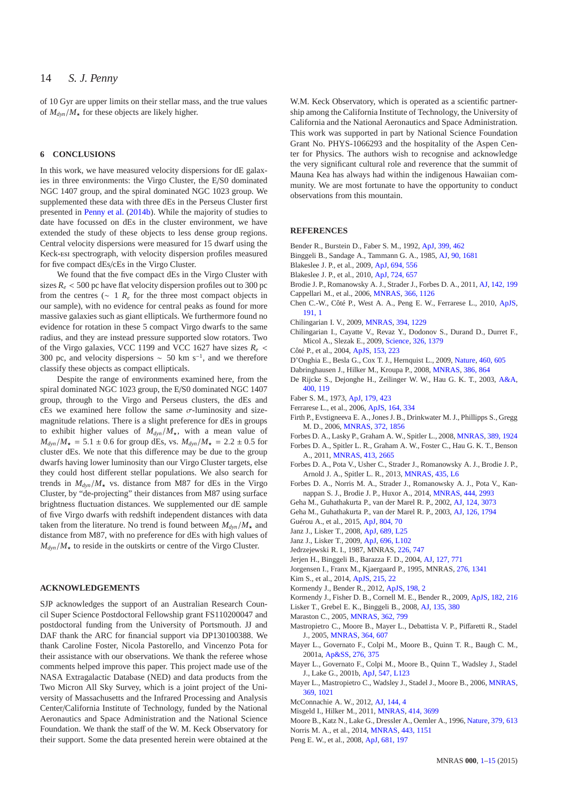of 10 Gyr are upper limits on their stellar mass, and the true values of  $M_{dyn}/M_{\star}$  for these objects are likely higher.

# <span id="page-13-0"></span>**6 CONCLUSIONS**

In this work, we have measured velocity dispersions for dE galaxies in three environments: the Virgo Cluster, the E/S0 dominated NGC 1407 group, and the spiral dominated NGC 1023 group. We supplemented these data with three dEs in the Perseus Cluster first presented in [Penny et al.](#page-14-4) [\(2014b](#page-14-4)). While the majority of studies to date have focussed on dEs in the cluster environment, we have extended the study of these objects to less dense group regions. Central velocity dispersions were measured for 15 dwarf using the Keck-esi spectrograph, with velocity dispersion profiles measured for five compact dEs/cEs in the Virgo Cluster.

We found that the five compact dEs in the Virgo Cluster with sizes  $R_e$  < 500 pc have flat velocity dispersion profiles out to 300 pc from the centres ( $\sim 1$  *R<sub>e</sub>* for the three most compact objects in our sample), with no evidence for central peaks as found for more massive galaxies such as giant ellipticals. We furthermore found no evidence for rotation in these 5 compact Virgo dwarfs to the same radius, and they are instead pressure supported slow rotators. Two of the Virgo galaxies, VCC 1199 and VCC 1627 have sizes *R<sup>e</sup>* < 300 pc, and velocity dispersions  $\sim$  50 km s<sup>-1</sup>, and we therefore classify these objects as compact ellipticals.

Despite the range of environments examined here, from the spiral dominated NGC 1023 group, the E/S0 dominated NGC 1407 group, through to the Virgo and Perseus clusters, the dEs and cEs we examined here follow the same  $\sigma$ -luminosity and sizemagnitude relations. There is a slight preference for dEs in groups to exhibit higher values of  $M_{dyn}/M_{\star}$ , with a mean value of  $M_{dyn}/M_{\star} = 5.1 \pm 0.6$  for group dEs, vs.  $M_{dyn}/M_{\star} = 2.2 \pm 0.5$  for cluster dEs. We note that this difference may be due to the group dwarfs having lower luminosity than our Virgo Cluster targets, else they could host different stellar populations. We also search for trends in  $M_{dyn}/M_{\star}$  vs. distance from M87 for dEs in the Virgo Cluster, by "de-projecting" their distances from M87 using surface brightness fluctuation distances. We supplemented our dE sample of five Virgo dwarfs with redshift independent distances with data taken from the literature. No trend is found between  $M_{dyn}/M_{\star}$  and distance from M87, with no preference for dEs with high values of  $M_{dyn}/M_{\star}$  to reside in the outskirts or centre of the Virgo Cluster.

# **ACKNOWLEDGEMENTS**

SJP acknowledges the support of an Australian Research Council Super Science Postdoctoral Fellowship grant FS110200047 and postdoctoral funding from the University of Portsmouth. JJ and DAF thank the ARC for financial support via DP130100388. We thank Caroline Foster, Nicola Pastorello, and Vincenzo Pota for their assistance with our observations. We thank the referee whose comments helped improve this paper. This project made use of the NASA Extragalactic Database (NED) and data products from the Two Micron All Sky Survey, which is a joint project of the University of Massachusetts and the Infrared Processing and Analysis Center/California Institute of Technology, funded by the National Aeronautics and Space Administration and the National Science Foundation. We thank the staff of the W. M. Keck Observatory for their support. Some the data presented herein were obtained at the

W.M. Keck Observatory, which is operated as a scientific partnership among the California Institute of Technology, the University of California and the National Aeronautics and Space Administration. This work was supported in part by National Science Foundation Grant No. PHYS-1066293 and the hospitality of the Aspen Center for Physics. The authors wish to recognise and acknowledge the very significant cultural role and reverence that the summit of Mauna Kea has always had within the indigenous Hawaiian community. We are most fortunate to have the opportunity to conduct observations from this mountain.

#### **REFERENCES**

- <span id="page-13-34"></span>Bender R., Burstein D., Faber S. M., 1992, [ApJ,](http://dx.doi.org/10.1086/171940) [399, 462](http://adsabs.harvard.edu/abs/1992ApJ...399..462B)
- <span id="page-13-21"></span>Binggeli B., Sandage A., Tammann G. A., 1985, [AJ,](http://dx.doi.org/10.1086/113874) [90, 1681](http://adsabs.harvard.edu/abs/1985AJ.....90.1681B)
- <span id="page-13-22"></span>Blakeslee J. P., et al., 2009, [ApJ,](http://dx.doi.org/10.1088/0004-637X/694/1/556) [694, 556](http://adsabs.harvard.edu/abs/2009ApJ...694..556B)
- <span id="page-13-31"></span>Blakeslee J. P., et al., 2010, [ApJ,](http://dx.doi.org/10.1088/0004-637X/724/1/657) [724, 657](http://adsabs.harvard.edu/abs/2010ApJ...724..657B)
- <span id="page-13-17"></span>Brodie J. P., Romanowsky A. J., Strader J., Forbes D. A., 2011, [AJ,](http://dx.doi.org/10.1088/0004-6256/142/6/199) [142, 199](http://adsabs.harvard.edu/abs/2011AJ....142..199B)
- <span id="page-13-24"></span>Cappellari M., et al., 2006, [MNRAS,](http://dx.doi.org/10.1111/j.1365-2966.2005.09981.x) [366, 1126](http://adsabs.harvard.edu/abs/2006MNRAS.366.1126C)
- <span id="page-13-29"></span>Chen C.-W., Côté P., West A. A., Peng E. W., Ferrarese L., 2010, [ApJS,](http://dx.doi.org/10.1088/0067-0049/191/1/1) [191, 1](http://adsabs.harvard.edu/abs/2010ApJS..191....1C)
- <span id="page-13-10"></span>Chilingarian I. V., 2009, [MNRAS,](http://dx.doi.org/10.1111/j.1365-2966.2009.14450.x) [394, 1229](http://adsabs.harvard.edu/abs/2009MNRAS.394.1229C)
- <span id="page-13-35"></span>Chilingarian I., Cayatte V., Revaz Y., Dodonov S., Durand D., Durret F., Micol A., Slezak E., 2009, [Science,](http://dx.doi.org/10.1126/science.1175930) [326, 1379](http://adsabs.harvard.edu/abs/2009Sci...326.1379C)
- <span id="page-13-19"></span>Côté P., et al., 2004, [ApJS,](http://dx.doi.org/10.1086/421490) [153, 223](http://adsabs.harvard.edu/abs/2004ApJS..153..223C)
- <span id="page-13-15"></span>D'Onghia E., Besla G., Cox T. J., Hernquist L., 2009, [Nature,](http://dx.doi.org/10.1038/nature08215) [460, 605](http://adsabs.harvard.edu/abs/2009Natur.460..605D)
- <span id="page-13-1"></span>Dabringhausen J., Hilker M., Kroupa P., 2008, [MNRAS,](http://dx.doi.org/10.1111/j.1365-2966.2008.13065.x) [386, 864](http://adsabs.harvard.edu/abs/2008MNRAS.386..864D)
- <span id="page-13-11"></span>De Rijcke S., Dejonghe H., Zeilinger W. W., Hau G. K. T., 2003, [A&A,](http://dx.doi.org/10.1051/0004-6361:20021866) [400, 119](http://adsabs.harvard.edu/abs/2003A%26A...400..119D)
- <span id="page-13-38"></span>Faber S. M., 1973, [ApJ,](http://dx.doi.org/10.1086/151881) [179, 423](http://adsabs.harvard.edu/abs/1973ApJ...179..423F)
- <span id="page-13-27"></span>Ferrarese L., et al., 2006, [ApJS,](http://dx.doi.org/10.1086/501350) [164, 334](http://adsabs.harvard.edu/abs/2006ApJS..164..334F)
- <span id="page-13-18"></span>Firth P., Evstigneeva E. A., Jones J. B., Drinkwater M. J., Phillipps S., Gregg M. D., 2006, [MNRAS,](http://dx.doi.org/10.1111/j.1365-2966.2006.10993.x) [372, 1856](http://adsabs.harvard.edu/abs/2006MNRAS.372.1856F)
- <span id="page-13-2"></span>Forbes D. A., Lasky P., Graham A. W., Spitler L., 2008, [MNRAS,](http://dx.doi.org/10.1111/j.1365-2966.2008.13739.x) [389, 1924](http://adsabs.harvard.edu/abs/2008MNRAS.389.1924F)
- <span id="page-13-3"></span>Forbes D. A., Spitler L. R., Graham A. W., Foster C., Hau G. K. T., Benson A., 2011, [MNRAS,](http://dx.doi.org/10.1111/j.1365-2966.2011.18335.x) [413, 2665](http://adsabs.harvard.edu/abs/2011MNRAS.413.2665F)
- <span id="page-13-33"></span>Forbes D. A., Pota V., Usher C., Strader J., Romanowsky A. J., Brodie J. P., Arnold J. A., Spitler L. R., 2013, [MNRAS,](http://dx.doi.org/10.1093/mnrasl/slt078) [435, L6](http://adsabs.harvard.edu/abs/2013MNRAS.435L...6F)
- <span id="page-13-5"></span>Forbes D. A., Norris M. A., Strader J., Romanowsky A. J., Pota V., Kannappan S. J., Brodie J. P., Huxor A., 2014, [MNRAS,](http://dx.doi.org/10.1093/mnras/stu1631) [444, 2993](http://adsabs.harvard.edu/abs/2014MNRAS.444.2993F)
- <span id="page-13-8"></span>Geha M., Guhathakurta P., van der Marel R. P., 2002, [AJ,](http://dx.doi.org/10.1086/344764) [124, 3073](http://adsabs.harvard.edu/abs/2002AJ....124.3073G)
- <span id="page-13-9"></span>Geha M., Guhathakurta P., van der Marel R. P., 2003, [AJ,](http://dx.doi.org/10.1086/377624) [126, 1794](http://adsabs.harvard.edu/abs/2003AJ....126.1794G)
- <span id="page-13-36"></span>Guérou A., et al., 2015, [ApJ,](http://dx.doi.org/10.1088/0004-637X/804/1/70) [804, 70](http://adsabs.harvard.edu/abs/2015ApJ...804...70G)
- <span id="page-13-26"></span>Janz J., Lisker T., 2008, [ApJ,](http://dx.doi.org/10.1086/595720) [689, L25](http://adsabs.harvard.edu/abs/2008ApJ...689L..25J)
- <span id="page-13-28"></span>Janz J., Lisker T., 2009, [ApJ,](http://dx.doi.org/10.1088/0004-637X/696/1/L102) [696, L102](http://adsabs.harvard.edu/abs/2009ApJ...696L.102J)
- <span id="page-13-25"></span>Jedrzejewski R. I., 1987, MNRAS, [226, 747](http://adsabs.harvard.edu/abs/1987MNRAS.226..747J)
- <span id="page-13-37"></span>Jerjen H., Binggeli B., Barazza F. D., 2004, [AJ,](http://dx.doi.org/10.1086/381065) [127, 771](http://adsabs.harvard.edu/abs/2004AJ....127..771J)
- <span id="page-13-23"></span>Jorgensen I., Franx M., Kjaergaard P., 1995, MNRAS, [276, 1341](http://adsabs.harvard.edu/abs/1995MNRAS.276.1341J)
- <span id="page-13-30"></span>Kim S., et al., 2014, [ApJS,](http://dx.doi.org/10.1088/0067-0049/215/2/22) [215, 22](http://adsabs.harvard.edu/abs/2014ApJS..215...22K)
- <span id="page-13-6"></span>Kormendy J., Bender R., 2012, [ApJS,](http://dx.doi.org/10.1088/0067-0049/198/1/2) [198, 2](http://adsabs.harvard.edu/abs/2012ApJS..198....2K)
- <span id="page-13-42"></span>Kormendy J., Fisher D. B., Cornell M. E., Bender R., 2009, [ApJS,](http://dx.doi.org/10.1088/0067-0049/182/1/216) [182, 216](http://adsabs.harvard.edu/abs/2009ApJS..182..216K)
- <span id="page-13-20"></span>Lisker T., Grebel E. K., Binggeli B., 2008, [AJ,](http://dx.doi.org/10.1088/0004-6256/135/1/380) [135, 380](http://adsabs.harvard.edu/abs/2008AJ....135..380L)
- <span id="page-13-32"></span>Maraston C., 2005, [MNRAS,](http://dx.doi.org/10.1111/j.1365-2966.2005.09270.x) [362, 799](http://adsabs.harvard.edu/abs/2005MNRAS.362..799M)
- <span id="page-13-14"></span>Mastropietro C., Moore B., Mayer L., Debattista V. P., Piffaretti R., Stadel J., 2005, [MNRAS,](http://dx.doi.org/10.1111/j.1365-2966.2005.09579.x) [364, 607](http://adsabs.harvard.edu/abs/2005MNRAS.364..607M)
- <span id="page-13-39"></span>Mayer L., Governato F., Colpi M., Moore B., Quinn T. R., Baugh C. M., 2001a, [Ap&SS,](http://dx.doi.org/10.1023/A:1017562225479) [276, 375](http://adsabs.harvard.edu/abs/2001Ap%26SS.276..375M)
- <span id="page-13-40"></span>Mayer L., Governato F., Colpi M., Moore B., Quinn T., Wadsley J., Stadel J., Lake G., 2001b, [ApJ,](http://dx.doi.org/10.1086/318898) [547, L123](http://adsabs.harvard.edu/abs/2001ApJ...547L.123M)
- <span id="page-13-16"></span>Mayer L., Mastropietro C., Wadsley J., Stadel J., Moore B., 2006, [MNRAS,](http://dx.doi.org/10.1111/j.1365-2966.2006.10403.x) [369, 1021](http://adsabs.harvard.edu/abs/2006MNRAS.369.1021M)
- <span id="page-13-12"></span>McConnachie A. W., 2012, [AJ,](http://dx.doi.org/10.1088/0004-6256/144/1/4) [144, 4](http://adsabs.harvard.edu/abs/2012AJ....144....4M)
- <span id="page-13-4"></span>Misgeld I., Hilker M., 2011, [MNRAS,](http://dx.doi.org/10.1111/j.1365-2966.2011.18669.x) [414, 3699](http://adsabs.harvard.edu/abs/2011MNRAS.414.3699M)
- <span id="page-13-13"></span>Moore B., Katz N., Lake G., Dressler A., Oemler A., 1996, [Nature,](http://dx.doi.org/10.1038/379613a0) [379, 613](http://adsabs.harvard.edu/abs/1996Natur.379..613M)
- <span id="page-13-7"></span>Norris M. A., et al., 2014, [MNRAS,](http://dx.doi.org/10.1093/mnras/stu1186) [443, 1151](http://adsabs.harvard.edu/abs/2014MNRAS.443.1151N)
- <span id="page-13-41"></span>Peng E. W., et al., 2008, [ApJ,](http://dx.doi.org/10.1086/587951) [681, 197](http://adsabs.harvard.edu/abs/2008ApJ...681..197P)